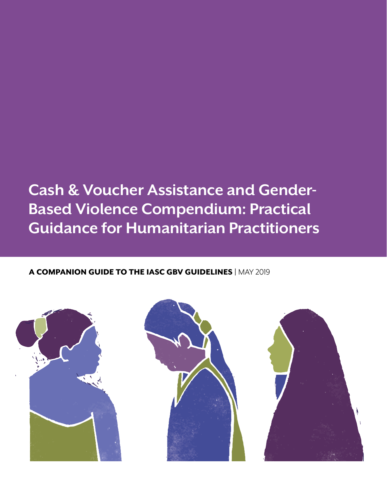## **Cash & Voucher Assistance and Gender-Based Violence Compendium: Practical Guidance for Humanitarian Practitioners**

### A COMPANION GUIDE TO THE IASC GBV GUIDELINES | MAY 2019

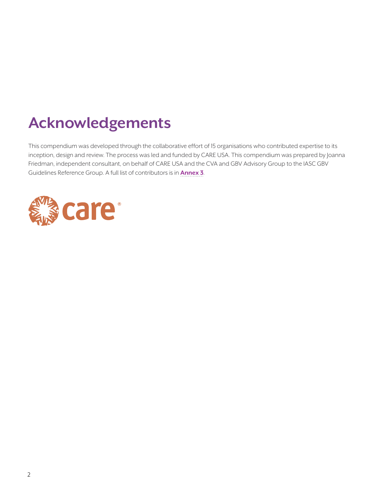## **Acknowledgements**

This compendium was developed through the collaborative effort of 15 organisations who contributed expertise to its inception, design and review. The process was led and funded by CARE USA. This compendium was prepared by Joanna Friedman, independent consultant, on behalf of CARE USA and the CVA and GBV Advisory Group to the IASC GBV Guidelines Reference Group. A full list of contributors is in **[Annex 3](#page-47-0)**.

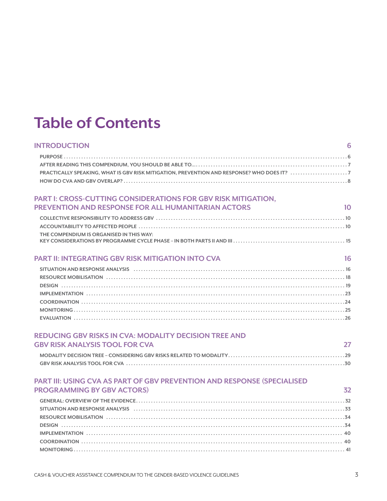## **Table of Contents**

| <b>INTRODUCTION</b>                                           | 6  |
|---------------------------------------------------------------|----|
|                                                               |    |
|                                                               |    |
|                                                               |    |
|                                                               |    |
| PART I: CROSS-CUTTING CONSIDERATIONS FOR GBV RISK MITIGATION. |    |
| PREVENTION AND RESPONSE FOR ALL HUMANITARIAN ACTORS           | 10 |
|                                                               |    |
|                                                               |    |
| THE COMPENDIUM IS ORGANISED IN THIS WAY:                      |    |
|                                                               |    |
| <b>PART II: INTEGRATING GBV RISK MITIGATION INTO CVA</b>      | 16 |

| <b>PART II: INTEGRATING GBV RISK MITIGATION INTO CVA</b> |  |  |
|----------------------------------------------------------|--|--|
|                                                          |  |  |

| SITUATION AND RESPONSE ANALYSIS (and according to the contract of the contract of the contract of the contract of the contract of the contract of the contract of the contract of the contract of the contract of the contract |  |
|--------------------------------------------------------------------------------------------------------------------------------------------------------------------------------------------------------------------------------|--|
|                                                                                                                                                                                                                                |  |
|                                                                                                                                                                                                                                |  |
|                                                                                                                                                                                                                                |  |
|                                                                                                                                                                                                                                |  |
|                                                                                                                                                                                                                                |  |
|                                                                                                                                                                                                                                |  |

### **[REDUCING GBV RISKS IN CVA: MODALITY DECISION TREE AND](#page-26-0)  [GBV RISK ANALYSIS TOOL FOR CVA](#page-26-0) 27**

#### **[PART III: USING CVA AS PART OF GBV PREVENTION AND RESPONSE \(SPECIALISED](#page-31-0)  [PROGRAMMING BY GBV ACTORS\)](#page-31-0) 32**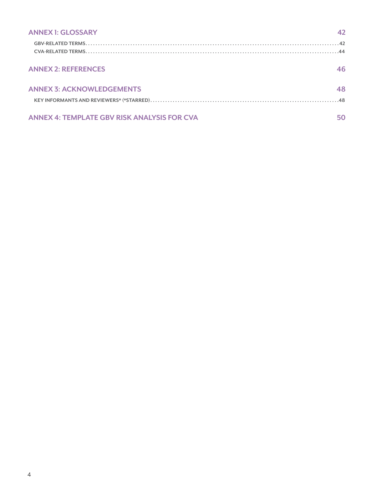| <b>ANNEX 1: GLOSSARY</b>                           | 42 |
|----------------------------------------------------|----|
|                                                    |    |
|                                                    |    |
| <b>ANNEX 2: REFERENCES</b>                         | 46 |
|                                                    |    |
| <b>ANNEX 3: ACKNOWLEDGEMENTS</b>                   | 48 |
|                                                    |    |
|                                                    |    |
| <b>ANNEX 4: TEMPLATE GBV RISK ANALYSIS FOR CVA</b> | 50 |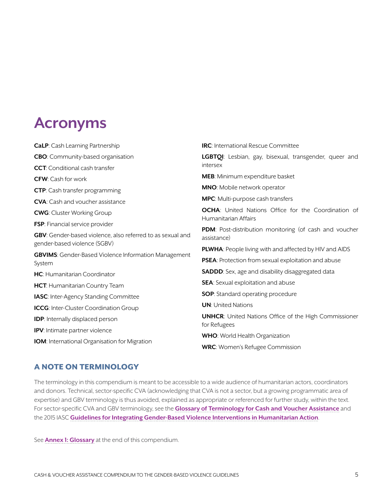## **Acronyms**

| <b>CaLP:</b> Cash Learning Partnership                                                                                  | <b>IRC:</b> International Rescue Committee                                                                                                         |  |  |
|-------------------------------------------------------------------------------------------------------------------------|----------------------------------------------------------------------------------------------------------------------------------------------------|--|--|
| <b>CBO</b> : Community-based organisation                                                                               | LGBTQI: Lesbian, gay, bisexual, transgender, queer and                                                                                             |  |  |
| <b>CCT:</b> Conditional cash transfer                                                                                   | intersex                                                                                                                                           |  |  |
| <b>CFW:</b> Cash for work                                                                                               | <b>MEB:</b> Minimum expenditure basket                                                                                                             |  |  |
| <b>CTP:</b> Cash transfer programming                                                                                   | <b>MNO:</b> Mobile network operator                                                                                                                |  |  |
| <b>CVA:</b> Cash and voucher assistance                                                                                 | <b>MPC:</b> Multi-purpose cash transfers                                                                                                           |  |  |
| <b>OCHA:</b> United Nations Office for the Coordination of<br><b>CWG:</b> Cluster Working Group<br>Humanitarian Affairs |                                                                                                                                                    |  |  |
| <b>FSP:</b> Financial service provider                                                                                  | <b>PDM</b> : Post-distribution monitoring (of cash and voucher<br>assistance)                                                                      |  |  |
| GBV: Gender-based violence, also referred to as sexual and                                                              |                                                                                                                                                    |  |  |
| gender-based violence (SGBV)                                                                                            | <b>PLWHA:</b> People living with and affected by HIV and AIDS                                                                                      |  |  |
| <b>GBVIMS:</b> Gender-Based Violence Information Management<br>System                                                   | PSEA: Protection from sexual exploitation and abuse<br><b>SADDD</b> : Sex, age and disability disaggregated data                                   |  |  |
| <b>HC</b> : Humanitarian Coordinator                                                                                    |                                                                                                                                                    |  |  |
| HCT: Humanitarian Country Team                                                                                          | <b>SEA</b> : Sexual exploitation and abuse                                                                                                         |  |  |
| <b>IASC:</b> Inter-Agency Standing Committee                                                                            | <b>SOP:</b> Standard operating procedure                                                                                                           |  |  |
| <b>ICCG:</b> Inter-Cluster Coordination Group                                                                           | <b>UN:</b> United Nations<br><b>UNHCR:</b> United Nations Office of the High Commissioner<br>for Refugees<br><b>WHO:</b> World Health Organization |  |  |
| <b>IDP:</b> Internally displaced person                                                                                 |                                                                                                                                                    |  |  |
| <b>IPV:</b> Intimate partner violence                                                                                   |                                                                                                                                                    |  |  |
| <b>IOM:</b> International Organisation for Migration                                                                    |                                                                                                                                                    |  |  |
|                                                                                                                         | <b>WRC:</b> Women's Refugee Commission                                                                                                             |  |  |

#### A NOTE ON TERMINOLOGY

The terminology in this compendium is meant to be accessible to a wide audience of humanitarian actors, coordinators and donors. Technical, sector-specific CVA (acknowledging that CVA is not a sector, but a growing programmatic area of expertise) and GBV terminology is thus avoided, explained as appropriate or referenced for further study, within the text. For sector-specific CVA and GBV terminology, see the **[Glossary of Terminology for Cash and Voucher Assistance](http://www.cashlearning.org/resources/glossary)** and the 2015 IASC **[Guidelines for Integrating Gender-Based Violence Interventions in Humanitarian Action](https://gbvguidelines.org/wp/wp-content/uploads/2016/10/2015_IASC_Gender-based_Violence_Guidelines_full-res.pdf)**.

See **Annex 1: Glossary** at the end of this compendium.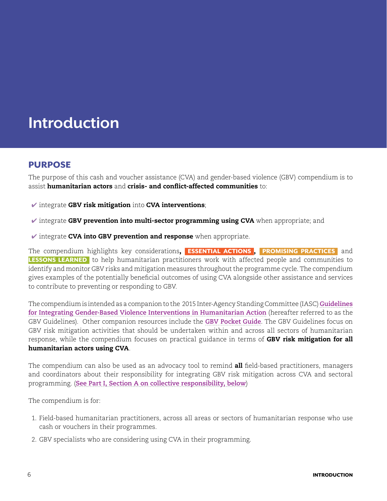## <span id="page-5-0"></span>**Introduction**

### PURPOSE

The purpose of this cash and voucher assistance (CVA) and gender-based violence (GBV) compendium is to assist humanitarian actors and crisis- and conflict-affected communities to:

- $\checkmark$  integrate GBV risk mitigation into CVA interventions;
- $\checkmark$  integrate GBV prevention into multi-sector programming using CVA when appropriate; and
- $\checkmark$  integrate CVA into GBV prevention and response when appropriate.

The compendium highlights key considerations, ESSENTIAL ACTIONS , PROMISING PRACTICES and LESSONS LEARNED to help humanitarian practitioners work with affected people and communities to identify and monitor GBV risks and mitigation measures throughout the programme cycle. The compendium gives examples of the potentially beneficial outcomes of using CVA alongside other assistance and services to contribute to preventing or responding to GBV.

The compendium is intended as a companion to the 2015 Inter-Agency Standing Committee (IASC) **[Guidelines](https://gbvguidelines.org/wp/wp-content/uploads/2016/10/2015_IASC_Gender-based_Violence_Guidelines_full-res.pdf) [for Integrating Gender-Based Violence Interventions in Humanitarian Action](https://gbvguidelines.org/wp/wp-content/uploads/2016/10/2015_IASC_Gender-based_Violence_Guidelines_full-res.pdf)** (hereafter referred to as the GBV Guidelines). Other companion resources include the **[GBV Pocket Guide](https://gbvguidelines.org/en/pocketguide/)**. The GBV Guidelines focus on GBV risk mitigation activities that should be undertaken within and across all sectors of humanitarian response, while the compendium focuses on practical guidance in terms of GBV risk mitigation for all humanitarian actors using CVA.

The compendium can also be used as an advocacy tool to remind **all** field-based practitioners, managers and coordinators about their responsibility for integrating GBV risk mitigation across CVA and sectoral programming. (**[See Part I, Section A on collective responsibility, below](#page-9-0)**)

The compendium is for:

- 1. Field-based humanitarian practitioners, across all areas or sectors of humanitarian response who use cash or vouchers in their programmes.
- 2. GBV specialists who are considering using CVA in their programming.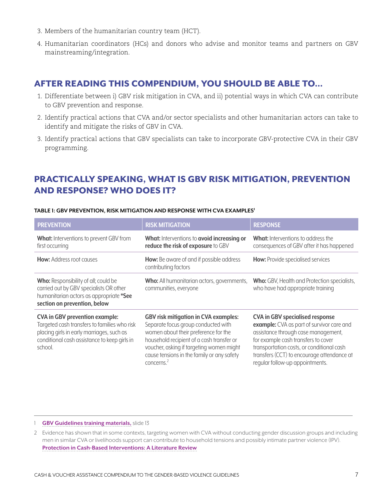- <span id="page-6-0"></span>3. Members of the humanitarian country team (HCT).
- 4. Humanitarian coordinators (HCs) and donors who advise and monitor teams and partners on GBV mainstreaming/integration.

### AFTER READING THIS COMPENDIUM, YOU SHOULD BE ABLE TO…

- 1. Differentiate between i) GBV risk mitigation in CVA, and ii) potential ways in which CVA can contribute to GBV prevention and response.
- 2. Identify practical actions that CVA and/or sector specialists and other humanitarian actors can take to identify and mitigate the risks of GBV in CVA.
- 3. Identify practical actions that GBV specialists can take to incorporate GBV-protective CVA in their GBV programming.

## PRACTICALLY SPEAKING, WHAT IS GBV RISK MITIGATION, PREVENTION AND RESPONSE? WHO DOES IT?

| <b>PREVENTION</b>                                                                                                                                                                             | <b>RISK MITIGATION</b>                                                                                                                                                                                                                                                             | <b>RESPONSE</b>                                                                                                                                                                                                                                                                                 |
|-----------------------------------------------------------------------------------------------------------------------------------------------------------------------------------------------|------------------------------------------------------------------------------------------------------------------------------------------------------------------------------------------------------------------------------------------------------------------------------------|-------------------------------------------------------------------------------------------------------------------------------------------------------------------------------------------------------------------------------------------------------------------------------------------------|
| What: Interventions to prevent GBV from<br>first occurring                                                                                                                                    | What: Interventions to avoid increasing or<br>reduce the risk of exposure to GBV                                                                                                                                                                                                   | <b>What:</b> Interventions to address the<br>consequences of GBV after it has happened                                                                                                                                                                                                          |
| <b>How:</b> Address root causes                                                                                                                                                               | <b>How:</b> Be aware of and if possible address<br>contributing factors                                                                                                                                                                                                            | <b>How:</b> Provide specialised services                                                                                                                                                                                                                                                        |
| <b>Who:</b> Responsibility of all; could be<br>carried out by GBV specialists OR other<br>humanitarian actors as appropriate *See<br>section on prevention, below                             | Who: All humanitarian actors, governments,<br>communities, everyone                                                                                                                                                                                                                | <b>Who:</b> GBV, Health and Protection specialists,<br>who have had appropriate training                                                                                                                                                                                                        |
| <b>CVA in GBV prevention example:</b><br>Targeted cash transfers to families who risk<br>placing girls in early marriages, such as<br>conditional cash assistance to keep girls in<br>school. | <b>GBV risk mitigation in CVA examples:</b><br>Separate focus group conducted with<br>women about their preference for the<br>household recipient of a cash transfer or<br>voucher, asking if targeting women might<br>cause tensions in the family or any safety<br>concerns. $2$ | <b>CVA in GBV specialised response</b><br>example: CVA as part of survivor care and<br>assistance through case management,<br>for example cash transfers to cover<br>transportation costs, or conditional cash<br>transfers (CCT) to encourage attendance at<br>regular follow-up appointments. |

#### **TABLE 1: GBV PREVENTION, RISK MITIGATION AND RESPONSE WITH CVA EXAMPLES1**

1 **[GBV Guidelines](https://gbvguidelines.org/en/capacity-building/module-3-gbv-in-emergencies/) training materials,** slide 13

<sup>2</sup> Evidence has shown that in some contexts, targeting women with CVA without conducting gender discussion groups and including men in similar CVA or livelihoods support can contribute to household tensions and possibly intimate partner violence (IPV). **[Protection in Cash-Based Interventions: A Literature Review](http://www.cashlearning.org/resources/library/590-protection-outcomes-in-cash-based-interventions-a-literature-review)**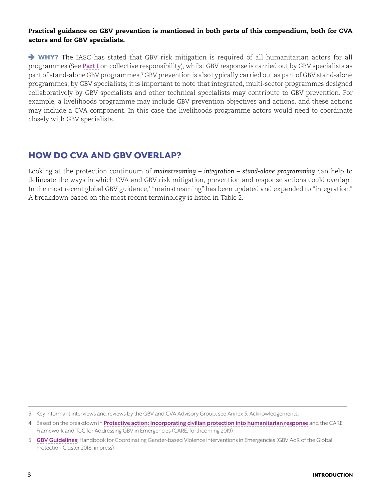#### <span id="page-7-0"></span>Practical guidance on GBV prevention is mentioned in both parts of this compendium, both for CVA actors and for GBV specialists.

 $\rightarrow$  WHY? The IASC has stated that GBV risk mitigation is required of all humanitarian actors for all programmes (See **[Part I](#page-9-0)** on collective responsibility), whilst GBV response is carried out by GBV specialists as part of stand-alone GBV programmes.<sup>3</sup> GBV prevention is also typically carried out as part of GBV stand-alone programmes, by GBV specialists; it is important to note that integrated, multi-sector programmes designed collaboratively by GBV specialists and other technical specialists may contribute to GBV prevention. For example, a livelihoods programme may include GBV prevention objectives and actions, and these actions may include a CVA component. In this case the livelihoods programme actors would need to coordinate closely with GBV specialists.

## HOW DO CVA AND GBV OVERLAP?

Looking at the protection continuum of *mainstreaming – integration – stand-alone programming* can help to delineate the ways in which CVA and GBV risk mitigation, prevention and response actions could overlap:<sup>4</sup> In the most recent global GBV guidance,<sup>5</sup> "mainstreaming" has been updated and expanded to "integration." A breakdown based on the most recent terminology is listed in Table 2.

<sup>3</sup> Key informant interviews and reviews by the GBV and CVA Advisory Group, see Annex 3: Acknowledgements.

<sup>4</sup> Based on the breakdown in **[Protective action: Incorporating civilian protection into humanitarian response](https://www.odi.org/publications/1084-protective-action-incorporating-civilian-protection-humanitarian-response)** and the CARE Framework and ToC for Addressing GBV in Emergencies (CARE, forthcoming 2019)

<sup>5</sup> **[GBV Guidelines](https://gbvguidelines.org/en/)**; Handbook for Coordinating Gender-based Violence Interventions in Emergencies (GBV AoR of the Global Protection Cluster 2018, in press)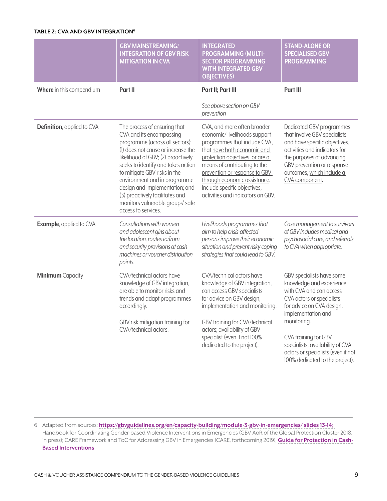#### **TABLE 2: CVA AND GBV INTEGRATION6**

|                                 | <b>GBV MAINSTREAMING/</b><br><b>INTEGRATION OF GBV RISK</b><br><b>MITIGATION IN CVA</b>                                                                                                                                                                                                                                                                                                                       | <b>INTEGRATED</b><br><b>PROGRAMMING (MULTI-</b><br><b>SECTOR PROGRAMMING</b><br><b>WITH INTEGRATED GBV</b><br><b>OBJECTIVES)</b>                                                                                                                                                                                                    | <b>STAND-ALONE OR</b><br><b>SPECIALISED GBV</b><br><b>PROGRAMMING</b>                                                                                                                                                                |
|---------------------------------|---------------------------------------------------------------------------------------------------------------------------------------------------------------------------------------------------------------------------------------------------------------------------------------------------------------------------------------------------------------------------------------------------------------|-------------------------------------------------------------------------------------------------------------------------------------------------------------------------------------------------------------------------------------------------------------------------------------------------------------------------------------|--------------------------------------------------------------------------------------------------------------------------------------------------------------------------------------------------------------------------------------|
| Where in this compendium        | Part II                                                                                                                                                                                                                                                                                                                                                                                                       | Part II; Part III                                                                                                                                                                                                                                                                                                                   | Part III                                                                                                                                                                                                                             |
|                                 |                                                                                                                                                                                                                                                                                                                                                                                                               | See above section on GBV<br>prevention                                                                                                                                                                                                                                                                                              |                                                                                                                                                                                                                                      |
| Definition, applied to CVA      | The process of ensuring that<br>CVA and its encompassing<br>programme (across all sectors):<br>(1) does not cause or increase the<br>likelihood of GBV; (2) proactively<br>seeks to identify and takes action<br>to mitigate GBV risks in the<br>environment and in programme<br>design and implementation; and<br>(3) proactively facilitates and<br>monitors vulnerable groups' safe<br>access to services. | CVA, and more often broader<br>economic/livelihoods support<br>programmes that include CVA,<br>that have both economic and<br>protection objectives, or are a<br>means of contributing to the<br>prevention or response to GBV<br>through economic assistance.<br>Include specific objectives,<br>activities and indicators on GBV. | Dedicated GBV programmes<br>that involve GBV specialists<br>and have specific objectives,<br>activities and indicators for<br>the purposes of advancing<br>GBV prevention or response<br>outcomes, which include a<br>CVA component. |
| <b>Example</b> , applied to CVA | Consultations with women<br>and adolescent girls about<br>the location, routes to/from<br>and security provisions at cash<br>machines or voucher distribution<br>points.                                                                                                                                                                                                                                      | Livelihoods programmes that<br>aim to help crisis-affected<br>persons improve their economic<br>situation and prevent risky coping<br>strategies that could lead to GBV.                                                                                                                                                            | Case management to survivors<br>of GBV includes medical and<br>psychosocial care, and referrals<br>to CVA when appropriate.                                                                                                          |
| <b>Minimum</b> Capacity         | CVA/technical actors have<br>knowledge of GBV integration,<br>are able to monitor risks and<br>trends and adapt programmes<br>accordingly.                                                                                                                                                                                                                                                                    | CVA/technical actors have<br>knowledge of GBV integration,<br>can access GBV specialists<br>for advice on GBV design,<br>implementation and monitoring.                                                                                                                                                                             | GBV specialists have some<br>knowledge and experience<br>with CVA and can access<br>CVA actors or specialists<br>for advice on CVA design,<br>implementation and                                                                     |
|                                 | GBV risk mitigation training for<br>CVA/technical actors.                                                                                                                                                                                                                                                                                                                                                     | GBV training for CVA/technical<br>actors; availability of GBV<br>specialist (even if not 100%<br>dedicated to the project).                                                                                                                                                                                                         | monitoring.<br>CVA training for GBV<br>specialists; availability of CVA<br>actors or specialists (even if not<br>100% dedicated to the project).                                                                                     |

6 Adapted from sources: **<https://gbvguidelines.org/en/capacity-building/module-3-gbv-in-emergencies/> slides 13-14;**  Handbook for Coordinating Gender-based Violence Interventions in Emergencies (GBV AoR of the Global Protection Cluster 2018, in press); CARE Framework and ToC for Addressing GBV in Emergencies (CARE, forthcoming 2019); **[Guide for Protection in Cash-](http://www.cashlearning.org/resources/library/800-guide-for-protection-in-cash-based-interventions)[Based Interventions](http://www.cashlearning.org/resources/library/800-guide-for-protection-in-cash-based-interventions)**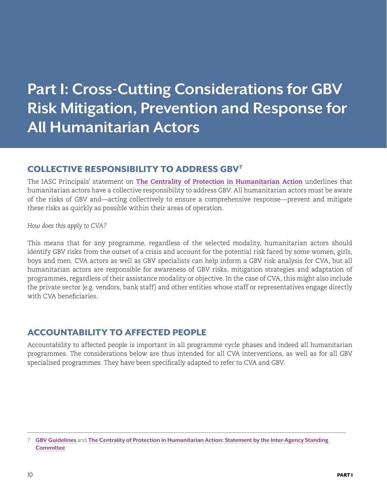## <span id="page-9-0"></span>**Part I: Cross-Cutting Considerations for GBV Risk Mitigation, Prevention and Response for All Humanitarian Actors**

## COLLECTIVE RESPONSIBILITY TO ADDRESS GBV7

The IASC Principals' statement on **[The Centrality of Protection in Humanitarian Action](https://interagencystandingcommittee.org/principals/content/iasc-principals-statement-centrality-protection-humanitarian-action-2013)** underlines that humanitarian actors have a collective responsibility to address GBV. All humanitarian actors must be aware of the risks of GBV and—acting collectively to ensure a comprehensive response—prevent and mitigate these risks as quickly as possible within their areas of operation.

*How does this apply to CVA?*

This means that for any programme, regardless of the selected modality, humanitarian actors should identify GBV risks from the outset of a crisis and account for the potential risk faced by some women, girls, boys and men. CVA actors as well as GBV specialists can help inform a GBV risk analysis for CVA, but all humanitarian actors are responsible for awareness of GBV risks, mitigation strategies and adaptation of programmes, regardless of their assistance modality or objective. In the case of CVA, this might also include the private sector (e.g. vendors, bank staff) and other entities whose staff or representatives engage directly with CVA beneficiaries.

## ACCOUNTABILITY TO AFFECTED PEOPLE

Accountability to affected people is important in all programme cycle phases and indeed all humanitarian programmes. The considerations below are thus intended for all CVA interventions, as well as for all GBV specialised programmes. They have been specifically adapted to refer to CVA and GBV.

<sup>7</sup> **[GBV Guidelines](https://gbvguidelines.org/en/)** and **[The Centrality of Protection in Humanitarian Action: Statement by the Inter-Agency Standing](https://interagencystandingcommittee.org/principals/content/iasc-principals-statement-centrality-protection-humanitarian-action-2013)  [Committee](https://interagencystandingcommittee.org/principals/content/iasc-principals-statement-centrality-protection-humanitarian-action-2013)**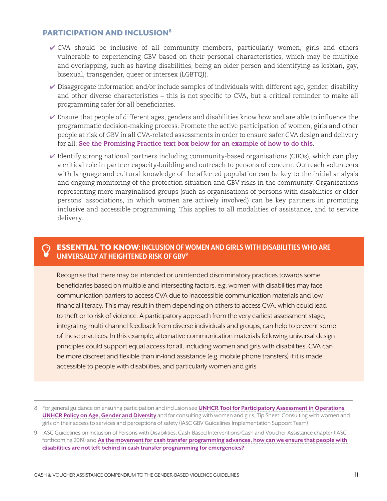#### <span id="page-10-0"></span>PARTICIPATION AND INCLUSION8

- ✔ CVA should be inclusive of all community members, particularly women, girls and others vulnerable to experiencing GBV based on their personal characteristics, which may be multiple and overlapping, such as having disabilities, being an older person and identifying as lesbian, gay, bisexual, transgender, queer or intersex (LGBTQI).
- $\triangledown$  Disaggregate information and/or include samples of individuals with different age, gender, disability and other diverse characteristics – this is not specific to CVA, but a critical reminder to make all programming safer for all beneficiaries.
- ✔ Ensure that people of different ages, genders and disabilities know how and are able to influence the programmatic decision-making process. Promote the active participation of women, girls and other people at risk of GBV in all CVA-related assessments in order to ensure safer CVA design and delivery for all. **[See the Promising Practice text box below for an example of how to do this](#page-11-0)**.
- $\blacktriangleright$  Identify strong national partners including community-based organisations (CBOs), which can play a critical role in partner capacity-building and outreach to persons of concern. Outreach volunteers with language and cultural knowledge of the affected population can be key to the initial analysis and ongoing monitoring of the protection situation and GBV risks in the community. Organisations representing more marginalised groups (such as organisations of persons with disabilities or older persons' associations, in which women are actively involved) can be key partners in promoting inclusive and accessible programming. This applies to all modalities of assistance, and to service delivery.

#### Þ ESSENTIAL TO KNOW**: INCLUSION OF WOMEN AND GIRLS WITH DISABILITIES WHO ARE UNIVERSALLY AT HEIGHTENED RISK OF GBV9**

Recognise that there may be intended or unintended discriminatory practices towards some beneficiaries based on multiple and intersecting factors, e.g. women with disabilities may face communication barriers to access CVA due to inaccessible communication materials and low financial literacy. This may result in them depending on others to access CVA, which could lead to theft or to risk of violence. A participatory approach from the very earliest assessment stage, integrating multi-channel feedback from diverse individuals and groups, can help to prevent some of these practices. In this example, alternative communication materials following universal design principles could support equal access for all, including women and girls with disabilities. CVA can be more discreet and flexible than in-kind assistance (e.g. mobile phone transfers) if it is made accessible to people with disabilities, and particularly women and girls

<sup>8</sup> For general guidance on ensuring participation and inclusion see **[UNHCR Tool for Participatory Assessment in Operations](http://www.refworld.org/docid/462df4232.html)**; **[UNHCR Policy on Age, Gender and Diversity](https://www.unhcr.org/protection/women/5aa13c0c7/policy-age-gender-diversity-accountability-2018.html)** and for consulting with women and girls, Tip Sheet: Consulting with women and girls on their access to services and perceptions of safety (IASC GBV Guidelines Implementation Support Team)

<sup>9</sup> IASC Guidelines on Inclusion of Persons with Disabilities, Cash-Based Interventions/Cash and Voucher Assistance chapter (IASC forthcoming 2019) and **[As the movement for cash transfer programming advances, how can we ensure that people with](http://www.cashlearning.org/downloads/cash-disability-calp-hi.pdf)  [disabilities are not left behind in cash transfer programming for emergencies?](http://www.cashlearning.org/downloads/cash-disability-calp-hi.pdf)**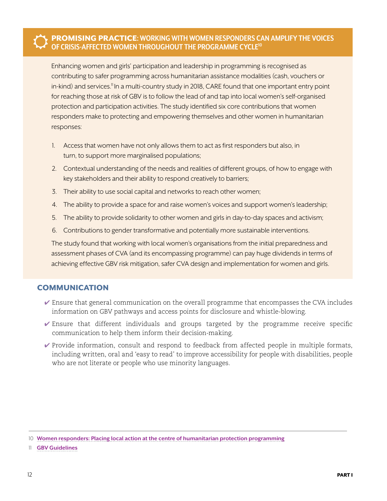#### <span id="page-11-0"></span>ŭ PROMISING PRACTICE**: WORKING WITH WOMEN RESPONDERS CAN AMPLIFY THE VOICES OF CRISIS-AFFECTED WOMEN THROUGHOUT THE PROGRAMME CYCLE10**

Enhancing women and girls' participation and leadership in programming is recognised as contributing to safer programming across humanitarian assistance modalities (cash, vouchers or in-kind) and services.<sup>11</sup> In a multi-country study in 2018, CARE found that one important entry point for reaching those at risk of GBV is to follow the lead of and tap into local women's self-organised protection and participation activities. The study identified six core contributions that women responders make to protecting and empowering themselves and other women in humanitarian responses:

- 1. Access that women have not only allows them to act as first responders but also, in turn, to support more marginalised populations;
- 2. Contextual understanding of the needs and realities of different groups, of how to engage with key stakeholders and their ability to respond creatively to barriers;
- 3. Their ability to use social capital and networks to reach other women;
- 4. The ability to provide a space for and raise women's voices and support women's leadership;
- 5. The ability to provide solidarity to other women and girls in day-to-day spaces and activism;
- 6. Contributions to gender transformative and potentially more sustainable interventions.

The study found that working with local women's organisations from the initial preparedness and assessment phases of CVA (and its encompassing programme) can pay huge dividends in terms of achieving effective GBV risk mitigation, safer CVA design and implementation for women and girls.

#### COMMUNICATION

- $\blacktriangleright$  Ensure that general communication on the overall programme that encompasses the CVA includes information on GBV pathways and access points for disclosure and whistle-blowing.
- $\checkmark$  Ensure that different individuals and groups targeted by the programme receive specific communication to help them inform their decision-making.
- $\vee$  Provide information, consult and respond to feedback from affected people in multiple formats, including written, oral and 'easy to read' to improve accessibility for people with disabilities, people who are not literate or people who use minority languages.

<sup>10</sup> **[Women responders: Placing local action at the centre of humanitarian protection programming](https://insights.careinternational.org.uk/media/k2/attachments/CARE_Women-responders-report_2018.pdf)**

<sup>11</sup> **[GBV Guidelines](https://www.gbvguidelines.org)**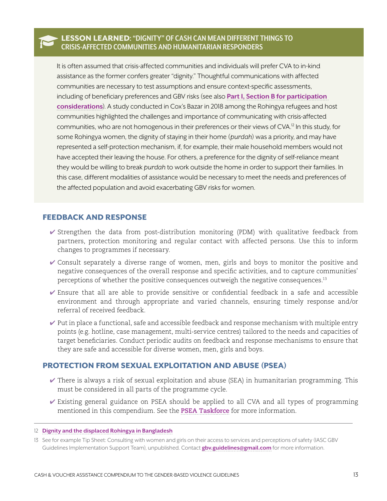#### ƄLESSON LEARNED**: "DIGNITY" OF CASH CAN MEAN DIFFERENT THINGS TO CRISIS-AFFECTED COMMUNITIES AND HUMANITARIAN RESPONDERS**

It is often assumed that crisis-affected communities and individuals will prefer CVA to in-kind assistance as the former confers greater "dignity." Thoughtful communications with affected communities are necessary to test assumptions and ensure context-specific assessments, including of beneficiary preferences and GBV risks (see also **[Part I, Section B for participation](#page-10-0)  [considerations](#page-10-0)**). A study conducted in Cox's Bazar in 2018 among the Rohingya refugees and host communities highlighted the challenges and importance of communicating with crisis-affected communities, who are not homogenous in their preferences or their views of CVA.<sup>12</sup> In this study, for some Rohingya women, the dignity of staying in their home (*purdah*) was a priority, and may have represented a self-protection mechanism, if, for example, their male household members would not have accepted their leaving the house. For others, a preference for the dignity of self-reliance meant they would be willing to break *purdah* to work outside the home in order to support their families. In this case, different modalities of assistance would be necessary to meet the needs and preferences of the affected population and avoid exacerbating GBV risks for women.

#### FEEDBACK AND RESPONSE

- $\checkmark$  Strengthen the data from post-distribution monitoring (PDM) with qualitative feedback from partners, protection monitoring and regular contact with affected persons. Use this to inform changes to programmes if necessary.
- ✔ Consult separately a diverse range of women, men, girls and boys to monitor the positive and negative consequences of the overall response and specific activities, and to capture communities' perceptions of whether the positive consequences outweigh the negative consequences.<sup>13</sup>
- ✔ Ensure that all are able to provide sensitive or confidential feedback in a safe and accessible environment and through appropriate and varied channels, ensuring timely response and/or referral of received feedback.
- $\vee$  Put in place a functional, safe and accessible feedback and response mechanism with multiple entry points (e.g. hotline, case management, multi-service centres) tailored to the needs and capacities of target beneficiaries. Conduct periodic audits on feedback and response mechanisms to ensure that they are safe and accessible for diverse women, men, girls and boys.

#### PROTECTION FROM SEXUAL EXPLOITATION AND ABUSE (PSEA)

- $\blacktriangleright$  There is always a risk of sexual exploitation and abuse (SEA) in humanitarian programming. This must be considered in all parts of the programme cycle.
- $\triangledown$  Existing general guidance on PSEA should be applied to all CVA and all types of programming mentioned in this compendium. See the **[PSEA Taskforce](http://pseataskforce.org)** for more information.

<sup>12</sup> **[Dignity and the displaced Rohingya in Bangladesh](https://www.odi.org/sites/odi.org.uk/files/resource-documents/12362.pdf)**

<sup>13</sup> See for example Tip Sheet: Consulting with women and girls on their access to services and perceptions of safety (IASC GBV Guidelines Implementation Support Team), unpublished. Contact **[gbv.guidelines@gmail.com](mailto:gbv.guidelines%40gmail.com?subject=)** for more information.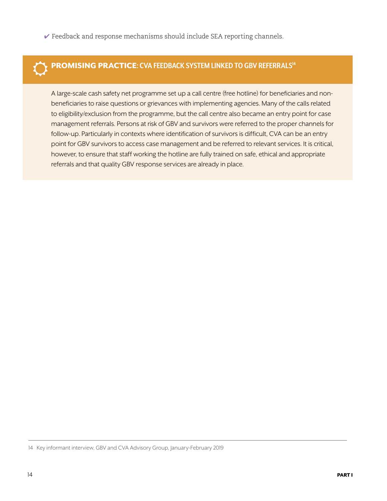$\vee$  Feedback and response mechanisms should include SEA reporting channels.



## ŭ PROMISING PRACTICE**: CVA FEEDBACK SYSTEM LINKED TO GBV REFERRALS14**

A large-scale cash safety net programme set up a call centre (free hotline) for beneficiaries and nonbeneficiaries to raise questions or grievances with implementing agencies. Many of the calls related to eligibility/exclusion from the programme, but the call centre also became an entry point for case management referrals. Persons at risk of GBV and survivors were referred to the proper channels for follow-up. Particularly in contexts where identification of survivors is difficult, CVA can be an entry point for GBV survivors to access case management and be referred to relevant services. It is critical, however, to ensure that staff working the hotline are fully trained on safe, ethical and appropriate referrals and that quality GBV response services are already in place.

14 Key informant interview, GBV and CVA Advisory Group, January-February 2019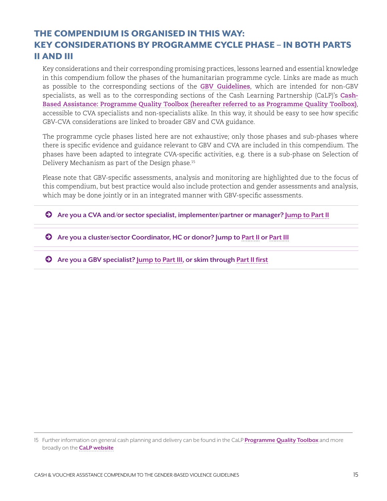## <span id="page-14-0"></span>THE COMPENDIUM IS ORGANISED IN THIS WAY: KEY CONSIDERATIONS BY PROGRAMME CYCLE PHASE – IN BOTH PARTS II AND III

Key considerations and their corresponding promising practices, lessons learned and essential knowledge in this compendium follow the phases of the humanitarian programme cycle. Links are made as much as possible to the corresponding sections of the **[GBV Guidelines](https://gbvguidelines.org/en/)**, which are intended for non-GBV specialists, as well as to the corresponding sections of the Cash Learning Partnership (CaLP)'s **[Cash-](http://pqtoolbox.cashlearning.org/)[Based Assistance: Programme Quality Toolbox](http://pqtoolbox.cashlearning.org/) (hereafter referred to as Programme Quality Toolbox)**, accessible to CVA specialists and non-specialists alike. In this way, it should be easy to see how specific GBV-CVA considerations are linked to broader GBV and CVA guidance.

The programme cycle phases listed here are not exhaustive; only those phases and sub-phases where there is specific evidence and guidance relevant to GBV and CVA are included in this compendium. The phases have been adapted to integrate CVA-specific activities, e.g. there is a sub-phase on Selection of Delivery Mechanism as part of the Design phase.15

Please note that GBV-specific assessments, analysis and monitoring are highlighted due to the focus of this compendium, but best practice would also include protection and gender assessments and analysis, which may be done jointly or in an integrated manner with GBV-specific assessments.

© **Are you a CVA and/or sector specialist, implementer/partner or manager? [Jump to Part II](#page-15-0)**

© **Are you a cluster/sector Coordinator, HC or donor? Jump to [Part II](#page-15-0) or [Part III](#page-31-0)**

© **Are you a GBV specialist? [Jump to Part III,](#page-31-0) or skim through [Part II first](#page-15-0)**

<sup>15</sup> Further information on general cash planning and delivery can be found in the CaLP **[Programme Quality Toolbox](http://pqtoolbox.cashlearning.org/)** and more broadly on the **[CaLP website](http://www.cashlearning.org/)**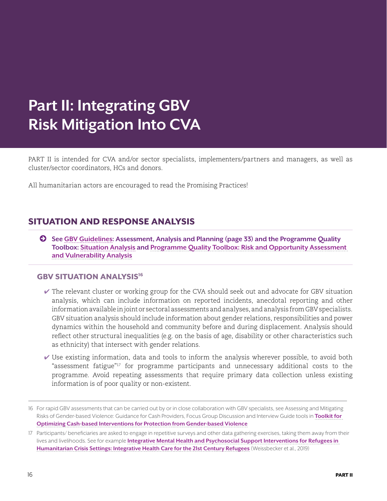## <span id="page-15-0"></span>**Part II: Integrating GBV Risk Mitigation Into CVA**

PART II is intended for CVA and/or sector specialists, implementers/partners and managers, as well as cluster/sector coordinators, HCs and donors.

All humanitarian actors are encouraged to read the Promising Practices!

## SITUATION AND RESPONSE ANALYSIS

© **See [GBV Guidelines:](https://gbvguidelines.org/) Assessment, Analysis and Planning (page 33) and the Programme Quality Toolbox: [Situation Analysis](http://pqtoolbox.cashlearning.org/Needs-assessment) and [Programme Quality Toolbox: Risk and Opportunity Assessment](http://pqtoolbox.cashlearning.org/Risk-and-opportunity-assessment)  [and Vulnerability Analysis](http://pqtoolbox.cashlearning.org/Risk-and-opportunity-assessment)**

#### **GBV SITUATION ANALYSIS<sup>16</sup>**

- $\vee$  The relevant cluster or working group for the CVA should seek out and advocate for GBV situation analysis, which can include information on reported incidents, anecdotal reporting and other information available in joint or sectoral assessments and analyses, and analysis from GBV specialists. GBV situation analysis should include information about gender relations, responsibilities and power dynamics within the household and community before and during displacement. Analysis should reflect other structural inequalities (e.g. on the basis of age, disability or other characteristics such as ethnicity) that intersect with gender relations.
- $\vee$  Use existing information, data and tools to inform the analysis wherever possible, to avoid both "assessment fatigue"17 for programme participants and unnecessary additional costs to the programme. Avoid repeating assessments that require primary data collection unless existing information is of poor quality or non-existent.

<sup>16</sup> For rapid GBV assessments that can be carried out by or in close collaboration with GBV specialists, see Assessing and Mitigating Risks of Gender-based Violence: Guidance for Cash Providers, Focus Group Discussion and Interview Guide tools in **[Toolkit for](https://www.womensrefugeecommission.org/issues/livelihoods/research-and-resources/1549-mainstreaming-gbv-considerations-in-cbis-and-utilizing-cash-in-gbv-response)  [Optimizing Cash-based Interventions for Protection from Gender-based Violence](https://www.womensrefugeecommission.org/issues/livelihoods/research-and-resources/1549-mainstreaming-gbv-considerations-in-cbis-and-utilizing-cash-in-gbv-response)**

<sup>17</sup> Participants/ beneficiaries are asked to engage in repetitive surveys and other data gathering exercises, taking them away from their lives and livelihoods. See for example **[Integrative Mental Health and Psychosocial Support Interventions for Refugees in](https://www.researchgate.net/publication/326525465_Integrative_Mental_Health_and_Psychosocial_Support_Interventions_for_Refugees_in_Humanitarian_Crisis_Settings_Integrative_Health_Care_for_the_21st_Century_Refugees)  [Humanitarian Crisis Settings: Integrative Health Care for the 21st Century Refugees](https://www.researchgate.net/publication/326525465_Integrative_Mental_Health_and_Psychosocial_Support_Interventions_for_Refugees_in_Humanitarian_Crisis_Settings_Integrative_Health_Care_for_the_21st_Century_Refugees)** (Weissbecker et al., 2019)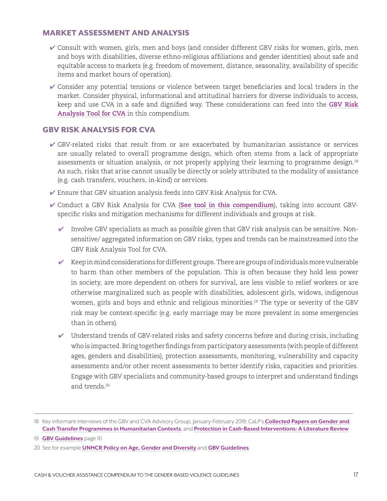#### MARKET ASSESSMENT AND ANALYSIS

- ✔ Consult with women, girls, men and boys (and consider different GBV risks for women, girls, men and boys with disabilities, diverse ethno-religious affiliations and gender identities) about safe and equitable access to markets (e.g. freedom of movement, distance, seasonality, availability of specific items and market hours of operation).
- ✔ Consider any potential tensions or violence between target beneficiaries and local traders in the market. Consider physical, informational and attitudinal barriers for diverse individuals to access, keep and use CVA in a safe and dignified way. These considerations can feed into the **[GBV Risk](#page-29-0)  [Analysis Tool for CVA](#page-29-0)** in this compendium.

#### GBV RISK ANALYSIS FOR CVA

- $\checkmark$  GBV-related risks that result from or are exacerbated by humanitarian assistance or services are usually related to overall programme design, which often stems from a lack of appropriate assessments or situation analysis, or not properly applying their learning to programme design.<sup>18</sup> As such, risks that arise cannot usually be directly or solely attributed to the modality of assistance (e.g. cash transfers, vouchers, in-kind) or services.
- ✔ Ensure that GBV situation analysis feeds into GBV Risk Analysis for CVA.
- ✔ Conduct a GBV Risk Analysis for CVA (**[See tool in this compendium](#page-28-0)**), taking into account GBVspecific risks and mitigation mechanisms for different individuals and groups at risk.
	- $\blacktriangleright$  Involve GBV specialists as much as possible given that GBV risk analysis can be sensitive. Nonsensitive/ aggregated information on GBV risks, types and trends can be mainstreamed into the GBV Risk Analysis Tool for CVA.
	- $\checkmark$  Keep in mind considerations for different groups. There are groups of individuals more vulnerable to harm than other members of the population. This is often because they hold less power in society, are more dependent on others for survival, are less visible to relief workers or are otherwise marginalized such as people with disabilities, adolescent girls, widows, indigenous women, girls and boys and ethnic and religious minorities.<sup>19</sup> The type or severity of the GBV risk may be context-specific (e.g. early marriage may be more prevalent in some emergencies than in others).
	- $\checkmark$  Understand trends of GBV-related risks and safety concerns before and during crisis, including who is impacted. Bring together findings from participatory assessments (with people of different ages, genders and disabilities), protection assessments, monitoring, vulnerability and capacity assessments and/or other recent assessments to better identify risks, capacities and priorities. Engage with GBV specialists and community-based groups to interpret and understand findings and trends.20

<sup>18</sup> Key informant interviews of the GBV and CVA Advisory Group, January-February 2019; CaLP's **[Collected Papers on Gender and](http://www.cashlearning.org/resources/library/1242-collected-papers-on-gender-and-cash-transfer-programmes-in-humanitarian-contexts?keywords=®ion=all&country=all&year=all&organisation=all§or=all&modality=all&language=all&payment_method=all&document_type=all&searched=1)  [Cash Transfer Programmes in Humanitarian Contexts](http://www.cashlearning.org/resources/library/1242-collected-papers-on-gender-and-cash-transfer-programmes-in-humanitarian-contexts?keywords=®ion=all&country=all&year=all&organisation=all§or=all&modality=all&language=all&payment_method=all&document_type=all&searched=1)**; and **[Protection in Cash-Based Interventions: A Literature Review](http://www.cashlearning.org/resources/library/590-protection-outcomes-in-cash-based-interventions-a-literature-review)**

<sup>19</sup> **[GBV Guidelines](https://www.gbvguidelines.org)** page 10

<sup>20</sup> See for example **[UNHCR Policy on Age, Gender and Diversit](https://www.unhcr.org/protection/women/5aa13c0c7/policy-age-gender-diversity-accountability-2018.html)y** and **[GBV Guidelines](https://www.gbvguidelines.org)**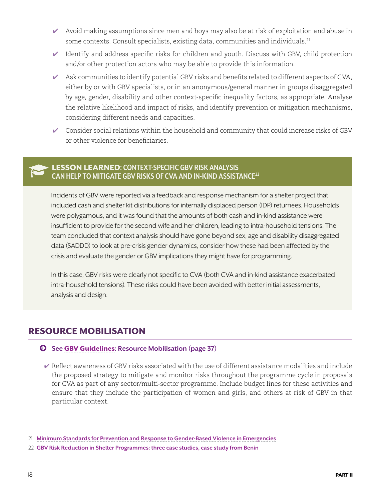- <span id="page-17-0"></span> $\blacktriangleright$  Avoid making assumptions since men and boys may also be at risk of exploitation and abuse in some contexts. Consult specialists, existing data, communities and individuals.<sup>21</sup>
- $\blacktriangleright$  Identify and address specific risks for children and youth. Discuss with GBV, child protection and/or other protection actors who may be able to provide this information.
- $\blacktriangleright$  Ask communities to identify potential GBV risks and benefits related to different aspects of CVA, either by or with GBV specialists, or in an anonymous/general manner in groups disaggregated by age, gender, disability and other context-specific inequality factors, as appropriate. Analyse the relative likelihood and impact of risks, and identify prevention or mitigation mechanisms, considering different needs and capacities.
- $\checkmark$  Consider social relations within the household and community that could increase risks of GBV or other violence for beneficiaries.

#### ƄLESSON LEARNED**: CONTEXT-SPECIFIC GBV RISK ANALYSIS CAN HELP TO MITIGATE GBV RISKS OF CVA AND IN-KIND ASSISTANCE22**

Incidents of GBV were reported via a feedback and response mechanism for a shelter project that included cash and shelter kit distributions for internally displaced person (IDP) returnees. Households were polygamous, and it was found that the amounts of both cash and in-kind assistance were insufficient to provide for the second wife and her children, leading to intra-household tensions. The team concluded that context analysis should have gone beyond sex, age and disability disaggregated data (SADDD) to look at pre-crisis gender dynamics, consider how these had been affected by the crisis and evaluate the gender or GBV implications they might have for programming.

In this case, GBV risks were clearly not specific to CVA (both CVA and in-kind assistance exacerbated intra-household tensions). These risks could have been avoided with better initial assessments, analysis and design.

## RESOURCE MOBILISATION

#### © **See** [GBV Guidelines](https://gbvguidelines.org/)**: Resource Mobilisation (page 37)**

 $\triangleright$  Reflect awareness of GBV risks associated with the use of different assistance modalities and include the proposed strategy to mitigate and monitor risks throughout the programme cycle in proposals for CVA as part of any sector/multi-sector programme. Include budget lines for these activities and ensure that they include the participation of women and girls, and others at risk of GBV in that particular context.

<sup>21</sup> **[Minimum Standards for Prevention and Response to Gender-Based Violence in Emergencies](http://unfpa.org/GBViEStandards)**

<sup>22</sup> **[GBV Risk Reduction in Shelter Programmes: three case studies, case study from Benin](https://gbvguidelines.org/wp/wp-content/uploads/2018/05/GBV-Risk-Reduction-in-Shelter-Programmes-Case-Studies.pdf)**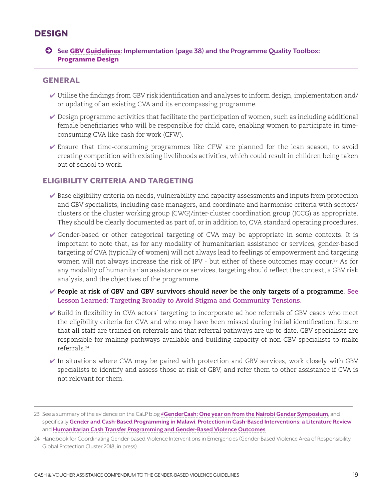### <span id="page-18-0"></span>DESIGN

© **See** [GBV Guidelines](https://gbvguidelines.org/)**: Implementation (page 38) and the Programme Quality Toolbox:**  [Programme Design](http://pqtoolbox.cashlearning.org/Targeting)

#### GENERAL

- $\blacktriangleright$  Utilise the findings from GBV risk identification and analyses to inform design, implementation and/ or updating of an existing CVA and its encompassing programme.
- $\blacktriangleright$  Design programme activities that facilitate the participation of women, such as including additional female beneficiaries who will be responsible for child care, enabling women to participate in timeconsuming CVA like cash for work (CFW).
- $\blacktriangleright$  Ensure that time-consuming programmes like CFW are planned for the lean season, to avoid creating competition with existing livelihoods activities, which could result in children being taken out of school to work.

#### ELIGIBILITY CRITERIA AND TARGETING

- $\blacktriangleright$  Base eligibility criteria on needs, vulnerability and capacity assessments and inputs from protection and GBV specialists, including case managers, and coordinate and harmonise criteria with sectors/ clusters or the cluster working group (CWG)/inter-cluster coordination group (ICCG) as appropriate. They should be clearly documented as part of, or in addition to, CVA standard operating procedures.
- ✔ Gender-based or other categorical targeting of CVA may be appropriate in some contexts. It is important to note that, as for any modality of humanitarian assistance or services, gender-based targeting of CVA (typically of women) will not always lead to feelings of empowerment and targeting women will not always increase the risk of IPV - but either of these outcomes may occur.<sup>23</sup> As for any modality of humanitarian assistance or services, targeting should reflect the context, a GBV risk analysis, and the objectives of the programme.
- ✔ **People at risk of GBV and GBV survivors should** *never* **be the only targets of a programme**. **[See](#page-19-0)  [Lesson Learned:](#page-19-0) Targeting Broadly to Avoid Stigma and Community Tensions.**
- ✔ Build in flexibility in CVA actors' targeting to incorporate ad hoc referrals of GBV cases who meet the eligibility criteria for CVA and who may have been missed during initial identification. Ensure that all staff are trained on referrals and that referral pathways are up to date. GBV specialists are responsible for making pathways available and building capacity of non-GBV specialists to make referrals.24
- $\checkmark$  In situations where CVA may be paired with protection and GBV services, work closely with GBV specialists to identify and assess those at risk of GBV, and refer them to other assistance if CVA is not relevant for them.

<sup>23</sup> See a summary of the evidence on the CaLP blog **[#GenderCash: One year on from the Nairobi Gender Symposium](http://www.cashlearning.org/news-and-events/news-and-events/post/525-gendercash-one-year-on-from-the-nairobi-gender-symposium-)**, and specifically **[Gender and Cash-Based Programming in Malawi](http://www.cashlearning.org/resources/library/1244-gender-and-cash-based-programming-in-malawi-lessons-from-concern-worldwides-humanitarian-and-development-experience?keywords=®ion=all&country=all&year=all&organisation=all§or=all&modality=all&language=all&payment_method=all&document_type=all&searched=1)**; **[Protection in Cash-Based Interventions: a Literature Review](http://www.cashlearning.org/resources/library/590-protection-outcomes-in-cash-based-interventions-a-literature-review)** and **[Humanitarian Cash Transfer Programming and Gender-Based Violence Outcomes](http://www.cashlearning.org/resources/library/1271-humanitarian-cash-transfer-programming-and-gender-based-violence-outcomes-evidence-and-future-research-priorities)**

<sup>24</sup> Handbook for Coordinating Gender-based Violence Interventions in Emergencies (Gender-Based Violence Area of Responsibility, Global Protection Cluster 2018, in press).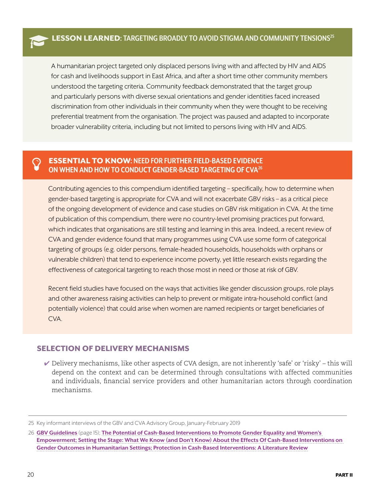<span id="page-19-0"></span>A humanitarian project targeted only displaced persons living with and affected by HIV and AIDS for cash and livelihoods support in East Africa, and after a short time other community members understood the targeting criteria. Community feedback demonstrated that the target group and particularly persons with diverse sexual orientations and gender identities faced increased discrimination from other individuals in their community when they were thought to be receiving preferential treatment from the organisation. The project was paused and adapted to incorporate broader vulnerability criteria, including but not limited to persons living with HIV and AIDS.

#### Þ ESSENTIAL TO KNOW**: NEED FOR FURTHER FIELD-BASED EVIDENCE ON WHEN AND HOW TO CONDUCT GENDER-BASED TARGETING OF CVA26**

Contributing agencies to this compendium identified targeting – specifically, how to determine when gender-based targeting is appropriate for CVA and will not exacerbate GBV risks – as a critical piece of the ongoing development of evidence and case studies on GBV risk mitigation in CVA. At the time of publication of this compendium, there were no country-level promising practices put forward, which indicates that organisations are still testing and learning in this area. Indeed, a recent review of CVA and gender evidence found that many programmes using CVA use some form of categorical targeting of groups (e.g. older persons, female-headed households, households with orphans or vulnerable children) that tend to experience income poverty, yet little research exists regarding the effectiveness of categorical targeting to reach those most in need or those at risk of GBV.

Recent field studies have focused on the ways that activities like gender discussion groups, role plays and other awareness raising activities can help to prevent or mitigate intra-household conflict (and potentially violence) that could arise when women are named recipients or target beneficiaries of CVA.

#### SELECTION OF DELIVERY MECHANISMS

 $\vee$  Delivery mechanisms, like other aspects of CVA design, are not inherently 'safe' or 'risky' – this will depend on the context and can be determined through consultations with affected communities and individuals, financial service providers and other humanitarian actors through coordination mechanisms.

<sup>25</sup> Key informant interviews of the GBV and CVA Advisory Group, January-February 2019

<sup>26</sup> **[GBV Guidelines](https://gbvguidelines.org/en/)** (page 15); **[The Potential of Cash-Based Interventions to Promote Gender Equality and Women's](https://www1.wfp.org/publications/gender-and-cash-wfp-study)  [Empowerment; Setting the Stage: What We Know \(and Don't Know\) About the Effects Of Cash-Based Interventions on](https://www1.wfp.org/publications/gender-and-cash-wfp-study)  [Gender Outcomes in Humanitarian Settings; Protection in Cash-Based Interventions: A Literature Review](https://www1.wfp.org/publications/gender-and-cash-wfp-study)**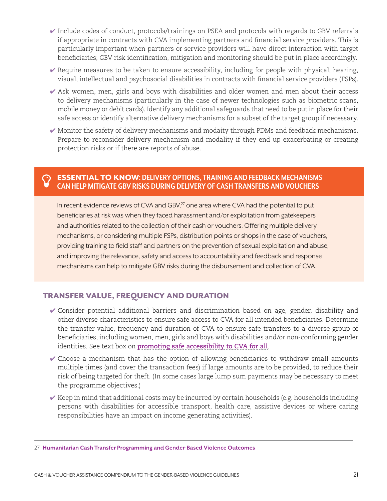- $\blacktriangleright$  Include codes of conduct, protocols/trainings on PSEA and protocols with regards to GBV referrals if appropriate in contracts with CVA implementing partners and financial service providers. This is particularly important when partners or service providers will have direct interaction with target beneficiaries; GBV risk identification, mitigation and monitoring should be put in place accordingly.
- $\vee$  Require measures to be taken to ensure accessibility, including for people with physical, hearing, visual, intellectual and psychosocial disabilities in contracts with financial service providers (FSPs).
- $\blacktriangledown$  Ask women, men, girls and boys with disabilities and older women and men about their access to delivery mechanisms (particularly in the case of newer technologies such as biometric scans, mobile money or debit cards). Identify any additional safeguards that need to be put in place for their safe access or identify alternative delivery mechanisms for a subset of the target group if necessary.
- ✔ Monitor the safety of delivery mechanisms and modaity through PDMs and feedback mechanisms. Prepare to reconsider delivery mechanism and modality if they end up exacerbating or creating protection risks or if there are reports of abuse.

#### Þ ESSENTIAL TO KNOW**: DELIVERY OPTIONS, TRAINING AND FEEDBACK MECHANISMS CAN HELP MITIGATE GBV RISKS DURING DELIVERY OF CASH TRANSFERS AND VOUCHERS**

In recent evidence reviews of CVA and GBV,<sup>27</sup> one area where CVA had the potential to put beneficiaries at risk was when they faced harassment and/or exploitation from gatekeepers and authorities related to the collection of their cash or vouchers. Offering multiple delivery mechanisms, or considering multiple FSPs, distribution points or shops in the case of vouchers, providing training to field staff and partners on the prevention of sexual exploitation and abuse, and improving the relevance, safety and access to accountability and feedback and response mechanisms can help to mitigate GBV risks during the disbursement and collection of CVA.

#### TRANSFER VALUE, FREQUENCY AND DURATION

- ✔ Consider potential additional barriers and discrimination based on age, gender, disability and other diverse characteristics to ensure safe access to CVA for all intended beneficiaries. Determine the transfer value, frequency and duration of CVA to ensure safe transfers to a diverse group of beneficiaries, including women, men, girls and boys with disabilities and/or non-conforming gender identities. See text box on **[promoting safe accessibility to CVA for all](#page-22-0)**.
- $\vee$  Choose a mechanism that has the option of allowing beneficiaries to withdraw small amounts multiple times (and cover the transaction fees) if large amounts are to be provided, to reduce their risk of being targeted for theft. (In some cases large lump sum payments may be necessary to meet the programme objectives.)
- $\blacktriangleright$  Keep in mind that additional costs may be incurred by certain households (e.g. households including persons with disabilities for accessible transport, health care, assistive devices or where caring responsibilities have an impact on income generating activities).

<sup>27</sup> **[Humanitarian Cash Transfer Programming and Gender-Based Violence Outcomes](http://www.cashlearning.org/resources/library/1271-humanitarian-cash-transfer-programming-and-gender-based-violence-outcomes-evidence-and-future-research-priorities)**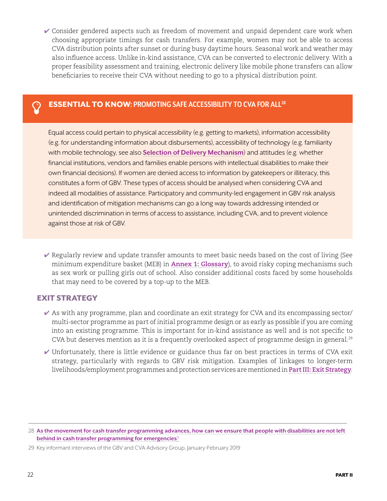<span id="page-21-0"></span>✔ Consider gendered aspects such as freedom of movement and unpaid dependent care work when choosing appropriate timings for cash transfers. For example, women may not be able to access CVA distribution points after sunset or during busy daytime hours. Seasonal work and weather may also influence access. Unlike in-kind assistance, CVA can be converted to electronic delivery. With a proper feasibility assessment and training, electronic delivery like mobile phone transfers can allow beneficiaries to receive their CVA without needing to go to a physical distribution point.

### **ESSENTIAL TO KNOW: PROMOTING SAFE ACCESSIBILITY TO CVA FOR ALL<sup>28</sup>**

Equal access could pertain to physical accessibility (e.g. getting to markets), information accessibility (e.g. for understanding information about disbursements), accessibility of technology (e.g. familiarity with mobile technology, see also **[Selection of Delivery Mechanism](#page-19-0)**) and attitudes (e.g. whether financial institutions, vendors and families enable persons with intellectual disabilities to make their own financial decisions). If women are denied access to information by gatekeepers or illiteracy, this constitutes a form of GBV. These types of access should be analysed when considering CVA and indeed all modalities of assistance. Participatory and community-led engagement in GBV risk analysis and identification of mitigation mechanisms can go a long way towards addressing intended or unintended discrimination in terms of access to assistance, including CVA, and to prevent violence against those at risk of GBV.

 $\vee$  Regularly review and update transfer amounts to meet basic needs based on the cost of living (See minimum expenditure basket (MEB) in **[Annex 1: Glossary](#page-41-0)**), to avoid risky coping mechanisms such as sex work or pulling girls out of school. Also consider additional costs faced by some households that may need to be covered by a top-up to the MEB.

#### EXIT STRATEGY

- $\blacktriangleright$  As with any programme, plan and coordinate an exit strategy for CVA and its encompassing sector/ multi-sector programme as part of initial programme design or as early as possible if you are coming into an existing programme. This is important for in-kind assistance as well and is not specific to CVA but deserves mention as it is a frequently overlooked aspect of programme design in general.<sup>29</sup>
- $\vee$  Unfortunately, there is little evidence or guidance thus far on best practices in terms of CVA exit strategy, particularly with regards to GBV risk mitigation. Examples of linkages to longer-term livelihoods/employment programmes and protection services are mentioned in **[Part III: Exit Strategy](#page-31-0)**.

<sup>28</sup> **[As the movement for cash transfer programming advances, how can we ensure that people with disabilities are not left](As the movement for cash transfer programming advances, how can we ensure that people with disabilities are not left behind in cash transfer programming for emergencies?)  [behind in cash transfer programming for emergencies](As the movement for cash transfer programming advances, how can we ensure that people with disabilities are not left behind in cash transfer programming for emergencies?)**?

<sup>29</sup> Key informant interviews of the GBV and CVA Advisory Group, January-February 2019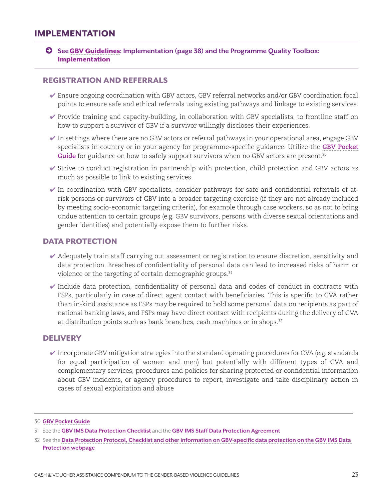### <span id="page-22-0"></span>IMPLEMENTATION

© **See**[GBV Guidelines](https://gbvguidelines.org/)**: Implementation (page 38) and the Programme Quality Toolbox:**  [Implementation](http://pqtoolbox.cashlearning.org/Registration-and-data-protection)

#### REGISTRATION AND REFERRALS

- ✔ Ensure ongoing coordination with GBV actors, GBV referral networks and/or GBV coordination focal points to ensure safe and ethical referrals using existing pathways and linkage to existing services.
- ✔ Provide training and capacity-building, in collaboration with GBV specialists, to frontline staff on how to support a survivor of GBV if a survivor willingly discloses their experiences.
- $\blacktriangleright$  In settings where there are no GBV actors or referral pathways in your operational area, engage GBV specialists in country or in your agency for programme-specific guidance. Utilize the **[GBV Pocket](https://gbvguidelines.org/en/pocketguide/)**  [Guide](https://gbvguidelines.org/en/pocketguide/) for guidance on how to safely support survivors when no GBV actors are present.<sup>30</sup>
- ✔ Strive to conduct registration in partnership with protection, child protection and GBV actors as much as possible to link to existing services.
- $\checkmark$  In coordination with GBV specialists, consider pathways for safe and confidential referrals of atrisk persons or survivors of GBV into a broader targeting exercise (if they are not already included by meeting socio-economic targeting criteria), for example through case workers, so as not to bring undue attention to certain groups (e.g. GBV survivors, persons with diverse sexual orientations and gender identities) and potentially expose them to further risks.

#### DATA PROTECTION

- $\blacktriangledown$  Adequately train staff carrying out assessment or registration to ensure discretion, sensitivity and data protection. Breaches of confidentiality of personal data can lead to increased risks of harm or violence or the targeting of certain demographic groups.<sup>31</sup>
- $\checkmark$  Include data protection, confidentiality of personal data and codes of conduct in contracts with FSPs, particularly in case of direct agent contact with beneficiaries. This is specific to CVA rather than in-kind assistance as FSPs may be required to hold some personal data on recipients as part of national banking laws, and FSPs may have direct contact with recipients during the delivery of CVA at distribution points such as bank branches, cash machines or in shops.<sup>32</sup>

#### **DELIVERY**

 $\checkmark$  Incorporate GBV mitigation strategies into the standard operating procedures for CVA (e.g. standards for equal participation of women and men) but potentially with different types of CVA and complementary services; procedures and policies for sharing protected or confidential information about GBV incidents, or agency procedures to report, investigate and take disciplinary action in cases of sexual exploitation and abuse

<sup>30</sup> **[GBV Pocket Guide](https://gbvguidelines.org/en/pocketguide/)**

<sup>31</sup> See the **[GBV IMS Data Protection Checklist](http://www.gbvims.com/wp/wp-content/uploads/DATA-PROTECTION-CHECKLIST.pdf)** and the **[GBV IMS Staff Data Protection Agreement](http://www.gbvims.com/wp/wp-content/uploads/Staff-Data-Protection-Agreement.pdf)**

<sup>32</sup> See the **[Data Protection Protocol, Checklist and other information on GBV-specific data protection on the GBV IMS Data](http://www.gbvims.com/data-protection/)  [Protection webpage](http://www.gbvims.com/data-protection/)**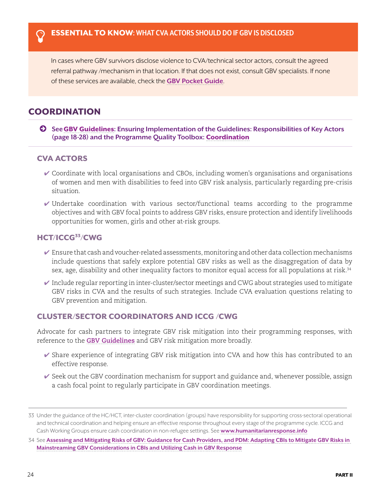<span id="page-23-0"></span>In cases where GBV survivors disclose violence to CVA/technical sector actors, consult the agreed referral pathway /mechanism in that location. If that does not exist, consult GBV specialists. If none of these services are available, check the **[GBV Pocket Guide](https://gbvguidelines.org/en/pocketguide/)**.

### **COORDINATION**

© **See**[GBV Guidelines](https://gbvguidelines.org/)**: Ensuring Implementation of the Guidelines: Responsibilities of Key Actors (page 18-28) and the Programme Quality Toolbox:** [Coordination](http://pqtoolbox.cashlearning.org/Coordination)

#### CVA ACTORS

- $\checkmark$  Coordinate with local organisations and CBOs, including women's organisations and organisations of women and men with disabilities to feed into GBV risk analysis, particularly regarding pre-crisis situation.
- $\checkmark$  Undertake coordination with various sector/functional teams according to the programme objectives and with GBV focal points to address GBV risks, ensure protection and identify livelihoods opportunities for women, girls and other at-risk groups.

#### HCT/ICCG<sup>33</sup>/CWG

- $\checkmark$  Ensure that cash and voucher-related assessments, monitoring and other data collection mechanisms include questions that safely explore potential GBV risks as well as the disaggregation of data by sex, age, disability and other inequality factors to monitor equal access for all populations at risk.<sup>34</sup>
- $\checkmark$  Include regular reporting in inter-cluster/sector meetings and CWG about strategies used to mitigate GBV risks in CVA and the results of such strategies. Include CVA evaluation questions relating to GBV prevention and mitigation.

#### CLUSTER/SECTOR COORDINATORS AND ICCG /CWG

Advocate for cash partners to integrate GBV risk mitigation into their programming responses, with reference to the **[GBV Guidelines](https://gbvguidelines.org/wp/wp-content/uploads/2016/10/2015_IASC_Gender-based_Violence_Guidelines_full-res.pdf)** and GBV risk mitigation more broadly.

- ✔ Share experience of integrating GBV risk mitigation into CVA and how this has contributed to an effective response.
- $\checkmark$  Seek out the GBV coordination mechanism for support and guidance and, whenever possible, assign a cash focal point to regularly participate in GBV coordination meetings.

<sup>33</sup> Under the guidance of the HC/HCT, inter-cluster coordination (groups) have responsibility for supporting cross-sectoral operational and technical coordination and helping ensure an effective response throughout every stage of the programme cycle. ICCG and Cash Working Groups ensure cash coordination in non-refugee settings. See **[www.humanitarianresponse.info](https://www.humanitarianresponse.info)**

<sup>34</sup> See **[Assessing and Mitigating Risks of GBV: Guidance for Cash Providers, and PDM: Adapting CBIs to Mitigate GBV Risks in](https://www.womensrefugeecommission.org/issues/livelihoods/research-and-resources/1549-mainstreaming-gbv-considerations-in-cbis-and-utilizing-cash-in-gbv-response)  [Mainstreaming GBV Considerations in CBIs and Utilizing Cash in GBV Response](https://www.womensrefugeecommission.org/issues/livelihoods/research-and-resources/1549-mainstreaming-gbv-considerations-in-cbis-and-utilizing-cash-in-gbv-response)**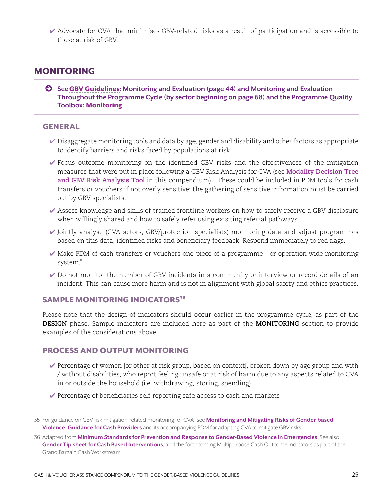<span id="page-24-0"></span>✔ Advocate for CVA that minimises GBV-related risks as a result of participation and is accessible to those at risk of GBV.

### MONITORING

© **See**[GBV Guidelines](https://gbvguidelines.org/)**: Monitoring and Evaluation (page 44) and Monitoring and Evaluation Throughout the Programme Cycle (by sector beginning on page 68) and the Programme Quality Toolbox:** [Monitoring](http://pqtoolbox.cashlearning.org/Process-and-output-monitoring)

#### GENERAL

- $\vee$  Disaggregate monitoring tools and data by age, gender and disability and other factors as appropriate to identify barriers and risks faced by populations at risk.
- ✔ Focus outcome monitoring on the identified GBV risks and the effectiveness of the mitigation measures that were put in place following a GBV Risk Analysis for CVA (see **[Modality Decision Tree](#page-28-0)**  [and GBV Risk Analysis Tool](#page-28-0) in this compendium).<sup>35</sup> These could be included in PDM tools for cash transfers or vouchers if not overly sensitive; the gathering of sensitive information must be carried out by GBV specialists.
- ✔ Assess knowledge and skills of trained frontline workers on how to safely receive a GBV disclosure when willingly shared and how to safely refer using exisiting referral pathways.
- $\checkmark$  Jointly analyse (CVA actors, GBV/protection specialists) monitoring data and adjust programmes based on this data, identified risks and beneficiary feedback. Respond immediately to red flags.
- ✔ Make PDM of cash transfers or vouchers one piece of a programme or operation-wide monitoring system."
- ✔ Do not monitor the number of GBV incidents in a community or interview or record details of an incident. This can cause more harm and is not in alignment with global safety and ethics practices.

#### SAMPLE MONITORING INDICATORS<sup>36</sup>

Please note that the design of indicators should occur earlier in the programme cycle, as part of the **DESIGN** phase. Sample indicators are included here as part of the **MONITORING** section to provide examples of the considerations above.

#### PROCESS AND OUTPUT MONITORING

- $\vee$  Percentage of women [or other at-risk group, based on context], broken down by age group and with / without disabilities, who report feeling unsafe or at risk of harm due to any aspects related to CVA in or outside the household (i.e. withdrawing, storing, spending)
- $\blacktriangleright$  Percentage of beneficiaries self-reporting safe access to cash and markets

<sup>35</sup> For guidance on GBV risk mitigation-related monitoring for CVA, see **[Monitoring and Mitigating Risks of Gender-based](https://www.womensrefugeecommission.org/issues/livelihoods/research-and-resources/1549-mainstreaming-gbv-considerations-in-cbis-and-utilizing-cash-in-gbv-response)  [Violence: Guidance for Cash Providers](https://www.womensrefugeecommission.org/issues/livelihoods/research-and-resources/1549-mainstreaming-gbv-considerations-in-cbis-and-utilizing-cash-in-gbv-response)** and its accompanying PDM for adapting CVA to mitigate GBV risks.

<sup>36</sup> Adapted from **[Minimum Standards for Prevention and Response to Gender-Based Violence in Emergencies](http://unfpa.org/GBViEStandards)**. See also **[Gender Tip sheet for Cash Based Interventions](https://bit.ly/2Nz5te2)**, and the forthcoming Multipurpose Cash Outcome Indicators as part of the Grand Bargain Cash Workstream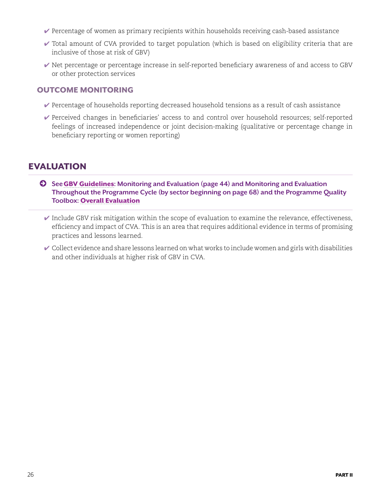- <span id="page-25-0"></span> $\vee$  Percentage of women as primary recipients within households receiving cash-based assistance
- $\vee$  Total amount of CVA provided to target population (which is based on eligibility criteria that are inclusive of those at risk of GBV)
- ✔ Net percentage or percentage increase in self-reported beneficiary awareness of and access to GBV or other protection services

#### OUTCOME MONITORING

- $\vee$  Percentage of households reporting decreased household tensions as a result of cash assistance
- ✔ Perceived changes in beneficiaries' access to and control over household resources; self-reported feelings of increased independence or joint decision-making (qualitative or percentage change in beneficiary reporting or women reporting)

## EVALUATION

- © **See**[GBV Guidelines](https://gbvguidelines.org/)**: Monitoring and Evaluation (page 44) and Monitoring and Evaluation Throughout the Programme Cycle (by sector beginning on page 68) and the Programme Quality Toolbox:** [Overall Evaluation](http://pqtoolbox.cashlearning.org/Overall-evaluation)
	- $\blacktriangleright$  Include GBV risk mitigation within the scope of evaluation to examine the relevance, effectiveness, efficiency and impact of CVA. This is an area that requires additional evidence in terms of promising practices and lessons learned.
	- $\checkmark$  Collect evidence and share lessons learned on what works to include women and girls with disabilities and other individuals at higher risk of GBV in CVA.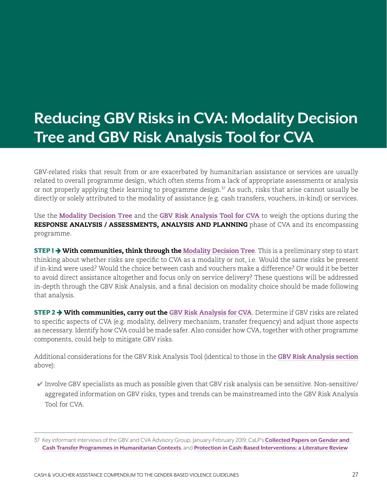## <span id="page-26-0"></span>**Reducing GBV Risks in CVA: Modality Decision Tree and GBV Risk Analysis Tool for CVA**

GBV-related risks that result from or are exacerbated by humanitarian assistance or services are usually related to overall programme design, which often stems from a lack of appropriate assessments or analysis or not properly applying their learning to programme design.37 As such, risks that arise cannot usually be directly or solely attributed to the modality of assistance (e.g. cash transfers, vouchers, in-kind) or services.

Use the **[Modality Decision Tree](#page-28-0)** and the **[GBV Risk Analysis Tool for CVA](#page-49-0)** to weigh the options during the RESPONSE ANALYSIS / ASSESSMENTS, ANALYSIS AND PLANNING phase of CVA and its encompassing programme.

**STEP 1**  $\rightarrow$  **With communities, think through the [Modality Decision Tree](#page-28-0)**. This is a preliminary step to start thinking about whether risks are specific to CVA as a modality or not, i.e. Would the same risks be present if in-kind were used? Would the choice between cash and vouchers make a difference? Or would it be better to avoid direct assistance altogether and focus only on service delivery? These questions will be addressed in-depth through the GBV Risk Analysis, and a final decision on modality choice should be made following that analysis.

**STEP 2**  $\rightarrow$  **With communities, carry out the [GBV Risk Analysis for CVA](#page-49-0)**. Determine if GBV risks are related to specific aspects of CVA (e.g. modality, delivery mechanism, transfer frequency) and adjust those aspects as necessary. Identify how CVA could be made safer. Also consider how CVA, together with other programme components, could help to mitigate GBV risks.

Additional considerations for the GBV Risk Analysis Tool (identical to those in the **[GBV Risk Analysis section](#page-29-0)** above):

 $\checkmark$  Involve GBV specialists as much as possible given that GBV risk analysis can be sensitive. Non-sensitive/ aggregated information on GBV risks, types and trends can be mainstreamed into the GBV Risk Analysis Tool for CVA.

<sup>37</sup> Key informant interviews of the GBV and CVA Advisory Group, January-February 2019; CaLP's **[Collected Papers on Gender and](http://www.cashlearning.org/resources/library/1242-collected-papers-on-gender-and-cash-transfer-programmes-in-humanitarian-contexts?keywords=®ion=all&country=all&year=all&organisation=all§or=all&modality=all&language=all&payment_method=all&document_type=all&searched=1)  [Cash Transfer Programmes in Humanitarian Contexts](http://www.cashlearning.org/resources/library/1242-collected-papers-on-gender-and-cash-transfer-programmes-in-humanitarian-contexts?keywords=®ion=all&country=all&year=all&organisation=all§or=all&modality=all&language=all&payment_method=all&document_type=all&searched=1)**, and **[Protection in Cash-Based Interventions: a Literature Review](http://www.cashlearning.org/resources/library/590-protection-outcomes-in-cash-based-interventions-a-literature-review)**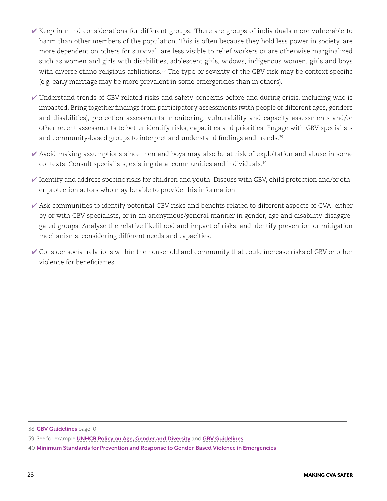- ✔ Keep in mind considerations for different groups. There are groups of individuals more vulnerable to harm than other members of the population. This is often because they hold less power in society, are more dependent on others for survival, are less visible to relief workers or are otherwise marginalized such as women and girls with disabilities, adolescent girls, widows, indigenous women, girls and boys with diverse ethno-religious affiliations.<sup>38</sup> The type or severity of the GBV risk may be context-specific (e.g. early marriage may be more prevalent in some emergencies than in others).
- ✔ Understand trends of GBV-related risks and safety concerns before and during crisis, including who is impacted. Bring together findings from participatory assessments (with people of different ages, genders and disabilities), protection assessments, monitoring, vulnerability and capacity assessments and/or other recent assessments to better identify risks, capacities and priorities. Engage with GBV specialists and community-based groups to interpret and understand findings and trends.<sup>39</sup>
- $\blacktriangleright$  Avoid making assumptions since men and boys may also be at risk of exploitation and abuse in some contexts. Consult specialists, existing data, communities and individuals.40
- $\blacktriangleright$  Identify and address specific risks for children and youth. Discuss with GBV, child protection and/or other protection actors who may be able to provide this information.
- $\blacktriangleright$  Ask communities to identify potential GBV risks and benefits related to different aspects of CVA, either by or with GBV specialists, or in an anonymous/general manner in gender, age and disability-disaggregated groups. Analyse the relative likelihood and impact of risks, and identify prevention or mitigation mechanisms, considering different needs and capacities.
- $\checkmark$  Consider social relations within the household and community that could increase risks of GBV or other violence for beneficiaries.

<sup>38</sup> **[GBV Guidelines](https://www.gbvguidelines.org)** page 10

<sup>39</sup> See for example **[UNHCR Policy on Age, Gender and Diversity](https://www.unhcr.org/protection/women/5aa13c0c7/policy-age-gender-diversity-accountability-2018.html)** and **[GBV Guidelines](https://www.gbvguidelines.org)**

<sup>40</sup> **[Minimum Standards for Prevention and Response to Gender-Based Violence in Emergencies](http://unfpa.org/GBViEStandards)**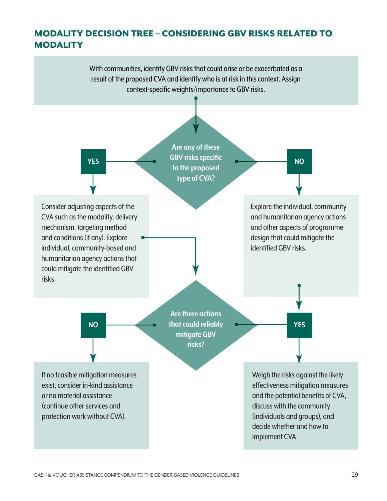## <span id="page-28-0"></span>MODALITY DECISION TREE – CONSIDERING GBV RISKS RELATED TO **MODALITY**

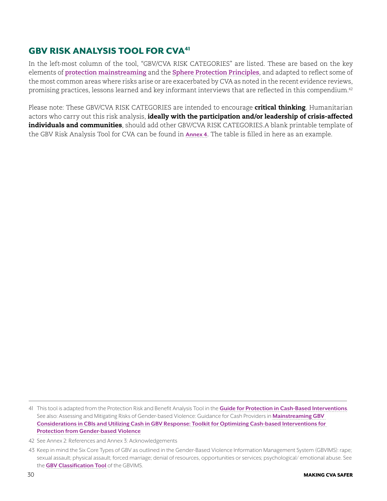## <span id="page-29-0"></span>**GBV RISK ANALYSIS TOOL FOR CVA<sup>41</sup>**

In the left-most column of the tool, "GBV/CVA RISK CATEGORIES" are listed. These are based on the key elements of **[protection mainstreaming](http://www.globalprotectioncluster.org/themes/protection-mainstreaming/)** and the **[Sphere Protection Principles](https://handbook.spherestandards.org/)**, and adapted to reflect some of the most common areas where risks arise or are exacerbated by CVA as noted in the recent evidence reviews, promising practices, lessons learned and key informant interviews that are reflected in this compendium.<sup>42</sup>

Please note: These GBV/CVA RISK CATEGORIES are intended to encourage critical thinking. Humanitarian actors who carry out this risk analysis, ideally with the participation and/or leadership of crisis-affected individuals and communities, should add other GBV/CVA RISK CATEGORIES.A blank printable template of the GBV Risk Analysis Tool for CVA can be found in **[Annex 4](#page-49-0)**. The table is filled in here as an example.

<sup>41</sup> This tool is adapted from the Protection Risk and Benefit Analysis Tool in the **[Guide for Protection in Cash-Based Interventions](http://www.cashlearning.org/resources/library/800-guide-for-protection-in-cash-based-interventions)**. See also: Assessing and Mitigating Risks of Gender-based Violence: Guidance for Cash Providers in **[Mainstreaming GBV](https://www.womensrefugeecommission.org/issues/livelihoods/research-and-resources/1549-mainstreaming-gbv-considerations-in-cbis-and-utilizing-cash-in-gbv-response)  [Considerations in CBIs and Utilizing Cash in GBV Response: Toolkit for Optimizing Cash-based Interventions for](https://www.womensrefugeecommission.org/issues/livelihoods/research-and-resources/1549-mainstreaming-gbv-considerations-in-cbis-and-utilizing-cash-in-gbv-response)  [Protection from Gender-based Violen](https://www.womensrefugeecommission.org/issues/livelihoods/research-and-resources/1549-mainstreaming-gbv-considerations-in-cbis-and-utilizing-cash-in-gbv-response)ce**

<sup>42</sup> See Annex 2: References and Annex 3: Acknowledgements

<sup>43</sup> Keep in mind the Six Core Types of GBV as outlined in the Gender-Based Violence Information Management System (GBVIMS): rape; sexual assault; physical assault; forced marriage; denial of resources, opportunities or services; psychological/ emotional abuse. See the **[GBV Classification Tool](http://gbvims.com/wp/wp-content/uploads/Annex-B-Classification-Tool.pdf
)** of the GBVIMS.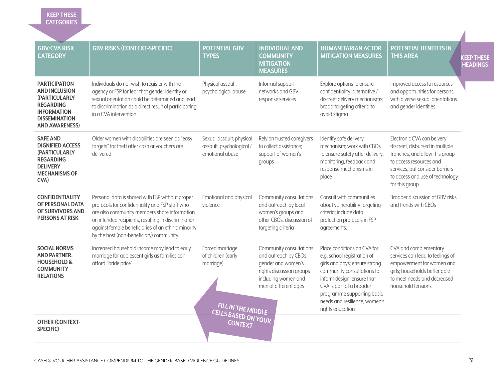#### **KEEP THESE CATEGORIES**

| <b>GBV/CVA RISK</b><br><b>CATEGORY</b>                                                                                                                          | <b>GBV RISKS (CONTEXT-SPECIFIC)</b>                                                                                                                                                                                                                                                                         | <b>POTENTIAL GBV</b><br><b>TYPES</b>                                     | <b>INDIVIDUAL AND</b><br><b>COMMUNITY</b><br><b>MITIGATION</b><br><b>MEASURES</b>                                                                  | <b>HUMANITARIAN ACTOR</b><br><b>MITIGATION MEASURES</b>                                                                                                                                                                                                                | <b>POTENTIAL BENEFITS IN</b><br><b>THIS AREA</b>                                                                                                                                                                   | <b>KEEP THESE</b><br><b>HEADINGS</b> |
|-----------------------------------------------------------------------------------------------------------------------------------------------------------------|-------------------------------------------------------------------------------------------------------------------------------------------------------------------------------------------------------------------------------------------------------------------------------------------------------------|--------------------------------------------------------------------------|----------------------------------------------------------------------------------------------------------------------------------------------------|------------------------------------------------------------------------------------------------------------------------------------------------------------------------------------------------------------------------------------------------------------------------|--------------------------------------------------------------------------------------------------------------------------------------------------------------------------------------------------------------------|--------------------------------------|
| <b>PARTICIPATION</b><br><b>AND INCLUSION</b><br><b>(PARTICULARLY</b><br><b>REGARDING</b><br><b>INFORMATION</b><br><b>DISSEMINATION</b><br><b>AND AWARENESS)</b> | Individuals do not wish to register with the<br>agency or FSP for fear that gender identity or<br>sexual orientation could be determined and lead<br>to discrimination as a direct result of participating<br>in a CVA intervention                                                                         | Physical assault,<br>psychological abuse                                 | Informal support<br>networks and GBV<br>response services                                                                                          | Explore options to ensure<br>confidentiality; alternative /<br>discreet delivery mechanisms;<br>broad targeting criteria to<br>avoid stigma                                                                                                                            | Improved access to resources<br>and opportunities for persons<br>with diverse sexual orientations<br>and gender identities                                                                                         |                                      |
| <b>SAFE AND</b><br><b>DIGNIFIED ACCESS</b><br><b>(PARTICULARLY</b><br><b>REGARDING</b><br><b>DELIVERY</b><br><b>MECHANISMS OF</b><br>$CVA$ )                    | Older women with disabilities are seen as "easy<br>targets" for theft after cash or vouchers are<br>delivered                                                                                                                                                                                               | Sexual assault, physical<br>assault, psychological /<br>emotional abuse  | Rely on trusted caregivers<br>to collect assistance;<br>support of women's<br>groups                                                               | Identify safe delivery<br>mechanism; work with CBOs<br>to ensure safety after delivery;<br>monitoring, feedback and<br>response mechanisms in<br>place                                                                                                                 | Electronic CVA can be very<br>discreet, disbursed in multiple<br>tranches, and allow this group<br>to access resources and<br>services, but consider barriers<br>to access and use of technology<br>for this group |                                      |
| <b>CONFIDENTIALITY</b><br>OF PERSONAL DATA<br>OF SURVIVORS AND<br><b>PERSONS AT RISK</b>                                                                        | Personal data is shared with FSP without proper<br>protocols for confidentiality and FSP staff who<br>are also community members share information<br>on intended recipients, resulting in discrimination<br>against female beneficiaries of an ethnic minority<br>by the host (non-beneficiary) community. | Emotional and physical<br>violence                                       | Community consultations<br>and outreach by local<br>women's groups and<br>other CBOs, discussion of<br>targeting criteria                          | Consult with communities<br>about vulnerability targeting<br>criteria; include data<br>protection protocols in FSP<br>agreements.                                                                                                                                      | Broader discussion of GBV risks<br>and trends with CBOs                                                                                                                                                            |                                      |
| <b>SOCIAL NORMS</b><br><b>AND PARTNER,</b><br><b>HOUSEHOLD &amp;</b><br><b>COMMUNITY</b><br><b>RELATIONS</b>                                                    | Increased household income may lead to early<br>marriage for adolescent girls as families can<br>afford "bride price"                                                                                                                                                                                       | Forced marriage<br>of children (early<br>marriage)<br>FILL IN THE MIDDLE | Community consultations<br>and outreach by CBOs,<br>gender and women's<br>rights discussion groups<br>including women and<br>men of different ages | Place conditions on CVA for<br>e.g. school registration of<br>girls and boys; ensure strong<br>community consultations to<br>inform design; ensure that<br>CVA is part of a broader<br>programme supporting basic<br>needs and resilience, women's<br>rights education | CVA and complementary<br>services can lead to feelings of<br>empowerment for women and<br>girls; households better able<br>to meet needs and decreased<br>household tensions                                       |                                      |
| <b>OTHER (CONTEXT-</b><br>SPECIFIC)                                                                                                                             |                                                                                                                                                                                                                                                                                                             | <b>CELLS BASED ON YOUR</b>                                               |                                                                                                                                                    |                                                                                                                                                                                                                                                                        |                                                                                                                                                                                                                    |                                      |

Λ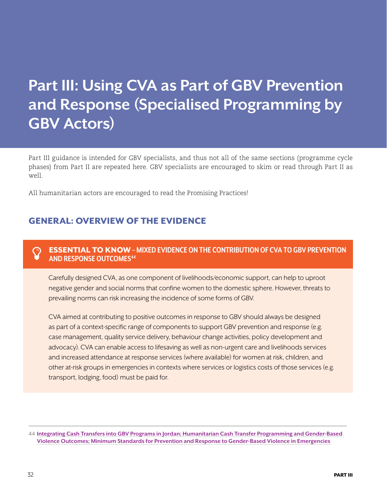## <span id="page-31-0"></span>**Part III: Using CVA as Part of GBV Prevention and Response (Specialised Programming by GBV Actors)**

Part III guidance is intended for GBV specialists, and thus not all of the same sections (programme cycle phases) from Part II are repeated here. GBV specialists are encouraged to skim or read through Part II as well.

All humanitarian actors are encouraged to read the Promising Practices!

## GENERAL: OVERVIEW OF THE EVIDENCE

#### **C** ESSENTIAL TO KNOW – MIXED EVIDENCE ON THE CONTRIBUTION OF CVA TO GBV PREVENTION **AND RESPONSE OUTCOMES44**

Carefully designed CVA, as one component of livelihoods/economic support, can help to uproot negative gender and social norms that confine women to the domestic sphere. However, threats to prevailing norms can risk increasing the incidence of some forms of GBV.

CVA aimed at contributing to positive outcomes in response to GBV should always be designed as part of a context-specific range of components to support GBV prevention and response (e.g. case management, quality service delivery, behaviour change activities, policy development and advocacy). CVA can enable access to lifesaving as well as non-urgent care and livelihoods services and increased attendance at response services (where available) for women at risk, children, and other at-risk groups in emergencies in contexts where services or logistics costs of those services (e.g. transport, lodging, food) must be paid for.

44 **[Integrating Cash Transfers into GBV Programs in Jordan; Humanitarian Cash Transfer Programming and Gender-Based](http://www.cashlearning.org/resources/library/1271-humanitarian-cash-transfer-programming-and-gender-based-violence-outcomes-evidence-and-future-research-priorities)  [Violence Outcomes; Minimum Standards for Prevention and Response to Gender-Based Violence in Emergencies](http://www.cashlearning.org/resources/library/1271-humanitarian-cash-transfer-programming-and-gender-based-violence-outcomes-evidence-and-future-research-priorities)**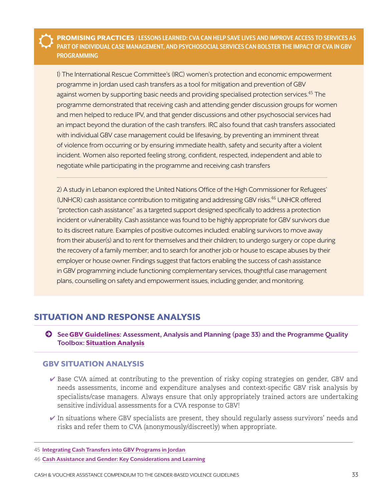<span id="page-32-0"></span>ŭ PROMISING PRACTICES **/ LESSONS LEARNED: CVA CAN HELP SAVE LIVES AND IMPROVE ACCESS TO SERVICES AS PART OF INDIVIDUAL CASE MANAGEMENT, AND PSYCHOSOCIAL SERVICES CAN BOLSTER THE IMPACT OF CVA IN GBV PROGRAMMING**

1) The International Rescue Committee's (IRC) women's protection and economic empowerment programme in Jordan used cash transfers as a tool for mitigation and prevention of GBV against women by supporting basic needs and providing specialised protection services.<sup>45</sup> The programme demonstrated that receiving cash and attending gender discussion groups for women and men helped to reduce IPV, and that gender discussions and other psychosocial services had an impact beyond the duration of the cash transfers. IRC also found that cash transfers associated with individual GBV case management could be lifesaving, by preventing an imminent threat of violence from occurring or by ensuring immediate health, safety and security after a violent incident. Women also reported feeling strong, confident, respected, independent and able to negotiate while participating in the programme and receiving cash transfers

2) A study in Lebanon explored the United Nations Office of the High Commissioner for Refugees' (UNHCR) cash assistance contribution to mitigating and addressing GBV risks.<sup>46</sup> UNHCR offered "protection cash assistance" as a targeted support designed specifically to address a protection incident or vulnerability. Cash assistance was found to be highly appropriate for GBV survivors due to its discreet nature. Examples of positive outcomes included: enabling survivors to move away from their abuser(s) and to rent for themselves and their children; to undergo surgery or cope during the recovery of a family member; and to search for another job or house to escape abuses by their employer or house owner. Findings suggest that factors enabling the success of cash assistance in GBV programming include functioning complementary services, thoughtful case management plans, counselling on safety and empowerment issues, including gender, and monitoring.

### SITUATION AND RESPONSE ANALYSIS

© **See**[GBV Guidelines](https://gbvguidelines.org/)**: Assessment, Analysis and Planning (page 33) and the Programme Quality Toolbox:** [Situation Analysis](http://pqtoolbox.cashlearning.org/Needs-assessment)

#### GBV SITUATION ANALYSIS

- $\vee$  Base CVA aimed at contributing to the prevention of risky coping strategies on gender, GBV and needs assessments, income and expenditure analyses and context-specific GBV risk analysis by specialists/case managers. Always ensure that only appropriately trained actors are undertaking sensitive individual assessments for a CVA response to GBV!
- $\checkmark$  In situations where GBV specialists are present, they should regularly assess survivors' needs and risks and refer them to CVA (anonymously/discreetly) when appropriate.

<sup>45</sup> **[Integrating Cash Transfers into GBV Programs in Jordan](https://www.rescue.org/report/integrating-cash-transfers-gender-based-violence-programs-jordan-benefits-risks-and)**

<sup>46</sup> **[Cash Assistance and Gender: Key Considerations and Learning](https://www.unhcr.org/protection/operations/5bbf501b4/cash-assistance-gender-key-considerations-learning.html)**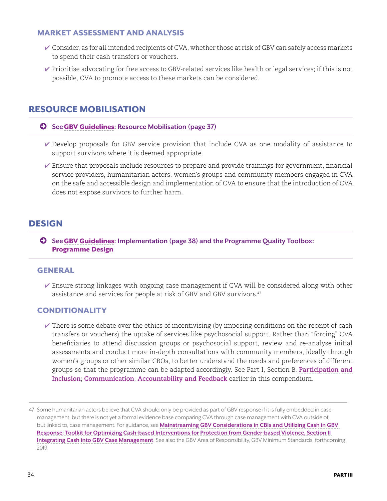#### <span id="page-33-0"></span>MARKET ASSESSMENT AND ANALYSIS

- $\checkmark$  Consider, as for all intended recipients of CVA, whether those at risk of GBV can safely access markets to spend their cash transfers or vouchers.
- ✔ Prioritise advocating for free access to GBV-related services like health or legal services; if this is not possible, CVA to promote access to these markets can be considered.

## RESOURCE MOBILISATION

#### © **See**[GBV Guidelines](https://gbvguidelines.org/)**: Resource Mobilisation (page 37)**

- ✔ Develop proposals for GBV service provision that include CVA as one modality of assistance to support survivors where it is deemed appropriate.
- $\vee$  Ensure that proposals include resources to prepare and provide trainings for government, financial service providers, humanitarian actors, women's groups and community members engaged in CVA on the safe and accessible design and implementation of CVA to ensure that the introduction of CVA does not expose survivors to further harm.

### DESIGN

© **See**[GBV Guidelines](https://gbvguidelines.org/)**: Implementation (page 38) and the Programme Quality Toolbox:**  [Programme Design](http://pqtoolbox.cashlearning.org/Targeting)

#### GENERAL

 $\vee$  Ensure strong linkages with ongoing case management if CVA will be considered along with other assistance and services for people at risk of GBV and GBV survivors.<sup>47</sup>

#### **CONDITIONALITY**

 $\vee$  There is some debate over the ethics of incentivising (by imposing conditions on the receipt of cash transfers or vouchers) the uptake of services like psychosocial support. Rather than "forcing" CVA beneficiaries to attend discussion groups or psychosocial support, review and re-analyse initial assessments and conduct more in-depth consultations with community members, ideally through women's groups or other similar CBOs, to better understand the needs and preferences of different groups so that the programme can be adapted accordingly. See Part I, Section B: **[Participation and](#page-10-0) [Inclusion](#page-10-0)**; **[Communication](#page-11-0)**; **[Accountability and Feedback](#page-9-0)** earlier in this compendium.

<sup>47</sup> Some humanitarian actors believe that CVA should only be provided as part of GBV response if it is fully embedded in case management, but there is not yet a formal evidence base comparing CVA through case management with CVA outside of, but linked to, case management. For guidance, see **[Mainstreaming GBV Considerations in CBIs and Utilizing Cash in GBV](https://www.womensrefugeecommission.org/issues/livelihoods/research-and-resources/1549-mainstreaming-gbv-considerations-in-cbis-and-utilizing-cash-in-gbv-response)  [Response: Toolkit for Optimizing Cash-based Interventions for Protection from Gender-based Violence, Section II](https://www.womensrefugeecommission.org/issues/livelihoods/research-and-resources/1549-mainstreaming-gbv-considerations-in-cbis-and-utilizing-cash-in-gbv-response)  [Integrating Cash into GBV Case Management](https://www.womensrefugeecommission.org/issues/livelihoods/research-and-resources/1549-mainstreaming-gbv-considerations-in-cbis-and-utilizing-cash-in-gbv-response)**. See also the GBV Area of Responsibility, GBV Minimum Standards, forthcoming 2019.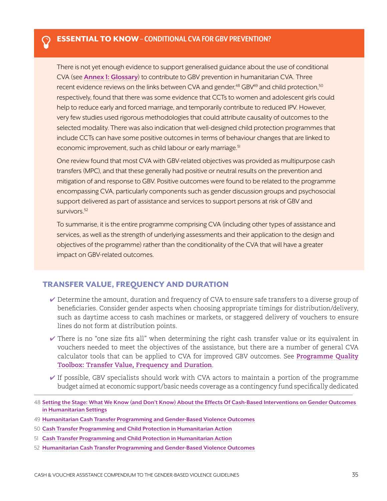#### <span id="page-34-0"></span>Þ ESSENTIAL TO KNOW **– CONDITIONAL CVA FOR GBV PREVENTION?**

There is not yet enough evidence to support generalised guidance about the use of conditional CVA (see **[Annex 1: Glossary](#page-41-0)**) to contribute to GBV prevention in humanitarian CVA. Three recent evidence reviews on the links between CVA and gender, $48$  GBV $49$  and child protection, $50$ respectively, found that there was some evidence that CCTs to women and adolescent girls could help to reduce early and forced marriage, and temporarily contribute to reduced IPV. However, very few studies used rigorous methodologies that could attribute causality of outcomes to the selected modality. There was also indication that well-designed child protection programmes that include CCTs can have some positive outcomes in terms of behaviour changes that are linked to economic improvement, such as child labour or early marriage.<sup>51</sup>

One review found that most CVA with GBV-related objectives was provided as multipurpose cash transfers (MPC), and that these generally had positive or neutral results on the prevention and mitigation of and response to GBV. Positive outcomes were found to be related to the programme encompassing CVA, particularly components such as gender discussion groups and psychosocial support delivered as part of assistance and services to support persons at risk of GBV and survivors.<sup>52</sup>

To summarise, it is the entire programme comprising CVA (including other types of assistance and services, as well as the strength of underlying assessments and their application to the design and objectives of the programme) rather than the conditionality of the CVA that will have a greater impact on GBV-related outcomes.

#### TRANSFER VALUE, FREQUENCY AND DURATION

- ✔ Determine the amount, duration and frequency of CVA to ensure safe transfers to a diverse group of beneficiaries. Consider gender aspects when choosing appropriate timings for distribution/delivery, such as daytime access to cash machines or markets, or staggered delivery of vouchers to ensure lines do not form at distribution points.
- $\vee$  There is no "one size fits all" when determining the right cash transfer value or its equivalent in vouchers needed to meet the objectives of the assistance, but there are a number of general CVA calculator tools that can be applied to CVA for improved GBV outcomes. See **[Programme Quality](http://pqtoolbox.cashlearning.org/Transfer-value-frequency-and-duration) [Toolbox: Transfer Value, Frequency and Duration](http://pqtoolbox.cashlearning.org/Transfer-value-frequency-and-duration)**.
- $\checkmark$  If possible, GBV specialists should work with CVA actors to maintain a portion of the programme budget aimed at economic support/basic needs coverage as a contingency fund specifically dedicated
- 48 **[Setting the Stage: What We Know \(and Don't Know\) About the Effects Of Cash-Based Interventions on Gender Outcomes](http://www.cashlearning.org/resources/library/1243-setting-the-stage-what-we-know-and-dont-know-about-the-effects-of-cash-based-interventions-on-gender-outcomes-in-humanitarian-settings?keywords=®ion=all&country=all&year=all&organisation=all§or=all&modality=all&language=all&payment_method=all&document_type=all&searched=1)  [in Humanitarian Settings](http://www.cashlearning.org/resources/library/1243-setting-the-stage-what-we-know-and-dont-know-about-the-effects-of-cash-based-interventions-on-gender-outcomes-in-humanitarian-settings?keywords=®ion=all&country=all&year=all&organisation=all§or=all&modality=all&language=all&payment_method=all&document_type=all&searched=1)**
- 49 **[Humanitarian Cash Transfer Programming and Gender-Based Violence Outcomes](http://www.cashlearning.org/resources/library/1271-humanitarian-cash-transfer-programming-and-gender-based-violence-outcomes-evidence-and-future-research-priorities)**
- 50 **[Cash Transfer Programming and Child Protection in Humanitarian Action](https://www.alliancecpha.org/en/child-protection-online-library/cash-transfer-programming-and-child-protection-humanitarian-action)**
- 51 **[Cash Transfer Programming and Child Protection in Humanitarian Action](https://www.alliancecpha.org/en/child-protection-online-library/cash-transfer-programming-and-child-protection-humanitarian-action)**
- 52 **[Humanitarian Cash Transfer Programming and Gender-Based Violence Outcomes](http://www.cashlearning.org/resources/library/1271-humanitarian-cash-transfer-programming-and-gender-based-violence-outcomes-evidence-and-future-research-priorities)**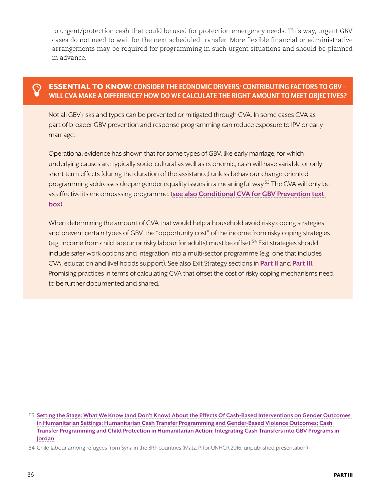to urgent/protection cash that could be used for protection emergency needs. This way, urgent GBV cases do not need to wait for the next scheduled transfer. More flexible financial or administrative arrangements may be required for programming in such urgent situations and should be planned in advance.

#### **ESSENTIAL TO KNOW: CONSIDER THE ECONOMIC DRIVERS/ CONTRIBUTING FACTORS TO GBV -WILL CVA MAKE A DIFFERENCE? HOW DO WE CALCULATE THE RIGHT AMOUNT TO MEET OBJECTIVES?**

Not all GBV risks and types can be prevented or mitigated through CVA. In some cases CVA as part of broader GBV prevention and response programming can reduce exposure to IPV or early marriage.

Operational evidence has shown that for some types of GBV, like early marriage, for which underlying causes are typically socio-cultural as well as economic, cash will have variable or only short-term effects (during the duration of the assistance) unless behaviour change-oriented programming addresses deeper gender equality issues in a meaningful way.<sup>53</sup> The CVA will only be as effective its encompassing programme. (**[see also Conditional CVA for GBV Prevention text](#page-34-0)  [box](#page-34-0)**)

When determining the amount of CVA that would help a household avoid risky coping strategies and prevent certain types of GBV, the "opportunity cost" of the income from risky coping strategies (e.g. income from child labour or risky labour for adults) must be offset.<sup>54</sup> Exit strategies should include safer work options and integration into a multi-sector programme (e.g. one that includes CVA, education and livelihoods support). See also Exit Strategy sections in **[Part II](#page-21-0)** and **[Part III](#page-37-0)**. Promising practices in terms of calculating CVA that offset the cost of risky coping mechanisms need to be further documented and shared.

53 **[Setting the Stage: What We Know \(and Don't Know\) About the Effects Of Cash-Based Interventions on Gender Outcomes](http://www.cashlearning.org/resources/library/1243-setting-the-stage-what-we-know-and-dont-know-about-the-effects-of-cash-based-interventions-on-gender-outcomes-in-humanitarian-settings?keywords=®ion=all&country=all&year=all&organisation=all§or=all&modality=all&language=all&payment_method=all&document_type=all&searched=1)  [in Humanitarian Settings; Humanitarian Cash Transfer Programming and Gender-Based Violence Outcomes; Cash](http://www.cashlearning.org/resources/library/1243-setting-the-stage-what-we-know-and-dont-know-about-the-effects-of-cash-based-interventions-on-gender-outcomes-in-humanitarian-settings?keywords=®ion=all&country=all&year=all&organisation=all§or=all&modality=all&language=all&payment_method=all&document_type=all&searched=1)  [Transfer Programming and Child Protection in Humanitarian Action; Integrating Cash Transfers into GBV Programs in](http://www.cashlearning.org/resources/library/1243-setting-the-stage-what-we-know-and-dont-know-about-the-effects-of-cash-based-interventions-on-gender-outcomes-in-humanitarian-settings?keywords=®ion=all&country=all&year=all&organisation=all§or=all&modality=all&language=all&payment_method=all&document_type=all&searched=1)  [Jordan](http://www.cashlearning.org/resources/library/1243-setting-the-stage-what-we-know-and-dont-know-about-the-effects-of-cash-based-interventions-on-gender-outcomes-in-humanitarian-settings?keywords=®ion=all&country=all&year=all&organisation=all§or=all&modality=all&language=all&payment_method=all&document_type=all&searched=1)**

<sup>54</sup> Child labour among refugees from Syria in the 3RP countries (Matz, P. for UNHCR 2016, unpublished presentation)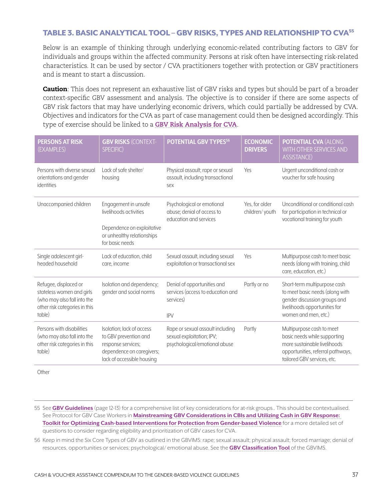#### TABLE 3. BASIC ANALYTICAL TOOL – GBV RISKS, TYPES AND RELATIONSHIP TO CVA<sup>55</sup>

Below is an example of thinking through underlying economic-related contributing factors to GBV for individuals and groups within the affected community. Persons at risk often have intersecting risk-related characteristics. It can be used by sector / CVA practitioners together with protection or GBV practitioners and is meant to start a discussion.

**Caution**: This does not represent an exhaustive list of GBV risks and types but should be part of a broader context-specific GBV assessment and analysis. The objective is to consider if there are some aspects of GBV risk factors that may have underlying economic drivers, which could partially be addressed by CVA. Objectives and indicators for the CVA as part of case management could then be designed accordingly. This type of exercise should be linked to a **[GBV Risk Analysis for CVA](#page-29-0)**.

| <b>PERSONS AT RISK</b><br>(EXAMPLES)                                                                                         | <b>GBV RISKS (CONTEXT-</b><br>SPECIFIC)                                                                                             | POTENTIAL GBV TYPES <sup>56</sup>                                                              | <b>ECONOMIC</b><br><b>DRIVERS</b> | <b>POTENTIAL CVA (ALONG</b><br>WITH OTHER SERVICES AND<br><b>ASSISTANCE)</b>                                                                                  |
|------------------------------------------------------------------------------------------------------------------------------|-------------------------------------------------------------------------------------------------------------------------------------|------------------------------------------------------------------------------------------------|-----------------------------------|---------------------------------------------------------------------------------------------------------------------------------------------------------------|
| Persons with diverse sexual<br>orientations and gender<br>identities                                                         | Lack of safe shelter/<br>housing                                                                                                    | Physical assault; rape or sexual<br>assault, including transactional<br>sex                    | Yes                               | Urgent unconditional cash or<br>voucher for safe housing                                                                                                      |
| Unaccompanied children                                                                                                       | Engagement in unsafe<br>livelihoods activities<br>Dependence on exploitative<br>or unhealthy relationships<br>for basic needs       | Psychological or emotional<br>abuse; denial of access to<br>education and services             | Yes, for older<br>children/youth  | Unconditional or conditional cash<br>for participation in technical or<br>vocational training for youth                                                       |
| Single adolescent girl-<br>headed household                                                                                  | Lack of education, child<br>care, income                                                                                            | Sexual assault, including sexual<br>exploitation or transactional sex                          | Yes                               | Multipurpose cash to meet basic<br>needs (along with training, child<br>care, education, etc.)                                                                |
| Refugee, displaced or<br>stateless women and girls<br>(who may also fall into the<br>other risk categories in this<br>table) | Isolation and dependency;<br>gender and social norms                                                                                | Denial of opportunities and<br>services (access to education and<br>services)<br><b>IPV</b>    | Partly or no                      | Short-term multipurpose cash<br>to meet basic needs (along with<br>gender discussion groups and<br>livelihoods opportunities for<br>women and men, etc.)      |
| Persons with disabilities<br>(who may also fall into the<br>other risk categories in this<br>table)                          | Isolation; lack of access<br>to GBV prevention and<br>response services;<br>dependence on caregivers;<br>lack of accessible housing | Rape or sexual assault including<br>sexual exploitation; IPV;<br>psychological/emotional abuse | Partly                            | Multipurpose cash to meet<br>basic needs while supporting<br>more sustainable livelihoods<br>opportunities, referral pathways,<br>tailored GBV services, etc. |

**Other** 

- 55 See **[GBV Guidelines](https://gbvguidelines.org/en/)** (page 12-13) for a comprehensive list of key considerations for at-risk groups.. This should be contextualised. See Protocol for GBV Case Workers in **[Mainstreaming GBV Considerations in CBIs and Utilizing Cash in GBV Response:](https://www.womensrefugeecommission.org/issues/livelihoods/research-and-resources/1549-mainstreaming-gbv-considerations-in-cbis-and-utilizing-cash-in-gbv-response)  [Toolkit for Optimizing Cash-based Interventions for Protection from Gender-based Violence](https://www.womensrefugeecommission.org/issues/livelihoods/research-and-resources/1549-mainstreaming-gbv-considerations-in-cbis-and-utilizing-cash-in-gbv-response)** for a more detailed set of questions to consider regarding eligibility and prioritization of GBV cases for CVA.
- 56 Keep in mind the Six Core Types of GBV as outlined in the GBVIMS: rape; sexual assault; physical assault; forced marriage; denial of resources, opportunities or services; psychological/ emotional abuse. See the **[GBV Classification Tool](http://gbvims.com/wp/wp-content/uploads/Annex-B-Classification-Tool.pdf)** of the GBVIMS.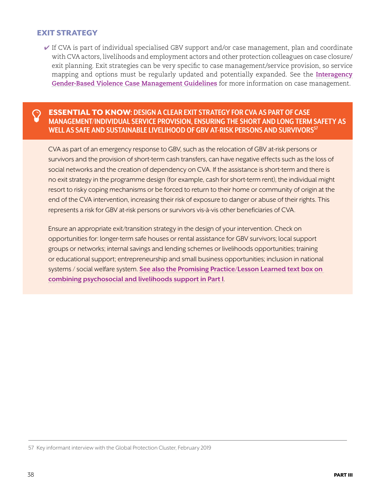#### <span id="page-37-0"></span>EXIT STRATEGY

 $\checkmark$  If CVA is part of individual specialised GBV support and/or case management, plan and coordinate with CVA actors, livelihoods and employment actors and other protection colleagues on case closure/ exit planning. Exit strategies can be very specific to case management/service provision, so service mapping and options must be regularly updated and potentially expanded. See the **[Interagency](http://www.gbvims.com/wp/wp-content/uploads/Interagency-GBV-Case-Management-Guidelines_Final_2017.pdf)  [Gender-Based Violence Case Management Guidelines](http://www.gbvims.com/wp/wp-content/uploads/Interagency-GBV-Case-Management-Guidelines_Final_2017.pdf)** for more information on case management.

#### Þ ESSENTIAL TO KNOW**: DESIGN A CLEAR EXIT STRATEGY FOR CVA AS PART OF CASE MANAGEMENT/INDIVIDUAL SERVICE PROVISION, ENSURING THE SHORT AND LONG TERM SAFETY AS WELL AS SAFE AND SUSTAINABLE LIVELIHOOD OF GBV AT-RISK PERSONS AND SURVIVORS57**

CVA as part of an emergency response to GBV, such as the relocation of GBV at-risk persons or survivors and the provision of short-term cash transfers, can have negative effects such as the loss of social networks and the creation of dependency on CVA. If the assistance is short-term and there is no exit strategy in the programme design (for example, cash for short-term rent), the individual might resort to risky coping mechanisms or be forced to return to their home or community of origin at the end of the CVA intervention, increasing their risk of exposure to danger or abuse of their rights. This represents a risk for GBV at-risk persons or survivors vis-à-vis other beneficiaries of CVA.

Ensure an appropriate exit/transition strategy in the design of your intervention. Check on opportunities for: longer-term safe houses or rental assistance for GBV survivors; local support groups or networks; internal savings and lending schemes or livelihoods opportunities; training or educational support; entrepreneurship and small business opportunities; inclusion in national systems / social welfare system. **[See also the Promising Practice/Lesson Learned text box on](#page-38-0)  [combining psychosocial and livelihoods support in Part I](#page-38-0)**.

<sup>57</sup> Key informant interview with the Global Protection Cluster, February 2019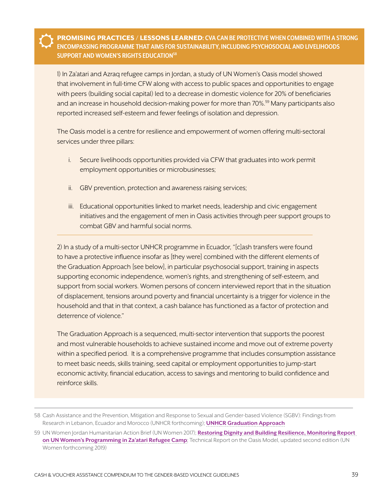<span id="page-38-0"></span>ŭ PROMISING PRACTICES / LESSONS LEARNED**: CVA CAN BE PROTECTIVE WHEN COMBINED WITH A STRONG ENCOMPASSING PROGRAMME THAT AIMS FOR SUSTAINABILITY, INCLUDING PSYCHOSOCIAL AND LIVELIHOODS SUPPORT AND WOMEN'S RIGHTS EDUCATION58**

1) In Za'atari and Azraq refugee camps in Jordan, a study of UN Women's Oasis model showed that involvement in full-time CFW along with access to public spaces and opportunities to engage with peers (building social capital) led to a decrease in domestic violence for 20% of beneficiaries and an increase in household decision-making power for more than 70%.<sup>59</sup> Many participants also reported increased self-esteem and fewer feelings of isolation and depression.

The Oasis model is a centre for resilience and empowerment of women offering multi-sectoral services under three pillars:

- i. Secure livelihoods opportunities provided via CFW that graduates into work permit employment opportunities or microbusinesses;
- ii. GBV prevention, protection and awareness raising services;
- iii. Educational opportunities linked to market needs, leadership and civic engagement initiatives and the engagement of men in Oasis activities through peer support groups to combat GBV and harmful social norms.

2) In a study of a multi-sector UNHCR programme in Ecuador, "[c]ash transfers were found to have a protective influence insofar as [they were] combined with the different elements of the Graduation Approach [see below], in particular psychosocial support, training in aspects supporting economic independence, women's rights, and strengthening of self-esteem, and support from social workers. Women persons of concern interviewed report that in the situation of displacement, tensions around poverty and financial uncertainty is a trigger for violence in the household and that in that context, a cash balance has functioned as a factor of protection and deterrence of violence."

The Graduation Approach is a sequenced, multi-sector intervention that supports the poorest and most vulnerable households to achieve sustained income and move out of extreme poverty within a specified period. It is a comprehensive programme that includes consumption assistance to meet basic needs, skills training, seed capital or employment opportunities to jump-start economic activity, financial education, access to savings and mentoring to build confidence and reinforce skills.

<sup>58</sup> Cash Assistance and the Prevention, Mitigation and Response to Sexual and Gender-based Violence (SGBV): Findings from Research in Lebanon, Ecuador and Morocco (UNHCR forthcoming); **[UNHCR Graduation Approach](https://www.unhcr.org/graduation-approach-56e9752a4.html)**

<sup>59</sup> UN Women Jordan Humanitarian Action Brief (UN Women 2017); **[Restoring Dignity and Building Resilience, Monitoring Report](http://www.unwomen.org/en/digital-library/publications/2016/3/restoring-dignity-and-building-resilience-in-jordan)  [on UN Women's Programming in Za'atari Refugee Camp](http://www.unwomen.org/en/digital-library/publications/2016/3/restoring-dignity-and-building-resilience-in-jordan)**; Technical Report on the Oasis Model, updated second edition (UN Women forthcoming 2019)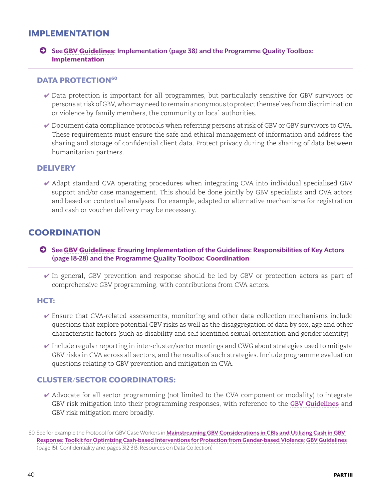### <span id="page-39-0"></span>IMPLEMENTATION

© **See**[GBV Guidelines](https://gbvguidelines.org/)**: Implementation (page 38) and the Programme Quality Toolbox:**  [Implementation](http://pqtoolbox.cashlearning.org/Registration-and-data-protection)

#### DATA PROTECTION<sup>60</sup>

- ✔ Data protection is important for all programmes, but particularly sensitive for GBV survivors or persons at risk of GBV, who may need to remain anonymous to protect themselves from discrimination or violence by family members, the community or local authorities.
- ✔ Document data compliance protocols when referring persons at risk of GBV or GBV survivors to CVA. These requirements must ensure the safe and ethical management of information and address the sharing and storage of confidential client data. Protect privacy during the sharing of data between humanitarian partners.

#### **DELIVERY**

✔ Adapt standard CVA operating procedures when integrating CVA into individual specialised GBV support and/or case management. This should be done jointly by GBV specialists and CVA actors and based on contextual analyses. For example, adapted or alternative mechanisms for registration and cash or voucher delivery may be necessary.

### **COORDINATION**

- © **See**[GBV Guidelines](https://gbvguidelines.org/)**: Ensuring Implementation of the Guidelines: Responsibilities of Key Actors (page 18-28) and the Programme Quality Toolbox:** [Coordination](http://pqtoolbox.cashlearning.org/Coordination)
	- ✔ In general, GBV prevention and response should be led by GBV or protection actors as part of comprehensive GBV programming, with contributions from CVA actors.

#### HCT:

- $\checkmark$  Ensure that CVA-related assessments, monitoring and other data collection mechanisms include questions that explore potential GBV risks as well as the disaggregation of data by sex, age and other characteristic factors (such as disability and self-identified sexual orientation and gender identity)
- $\checkmark$  Include regular reporting in inter-cluster/sector meetings and CWG about strategies used to mitigate GBV risks in CVA across all sectors, and the results of such strategies. Include programme evaluation questions relating to GBV prevention and mitigation in CVA.

#### CLUSTER/SECTOR COORDINATORS:

 $\blacktriangledown$  Advocate for all sector programming (not limited to the CVA component or modality) to integrate GBV risk mitigation into their programming responses, with reference to the **[GBV Guidelines](https://gbvguidelines.org/wp/wp-content/uploads/2016/10/2015_IASC_Gender-based_Violence_Guidelines_full-res.pdf)** and GBV risk mitigation more broadly.

<sup>60</sup> See for example the Protocol for GBV Case Workers in **[Mainstreaming GBV Considerations in CBIs and Utilizing Cash in GBV](https://www.womensrefugeecommission.org/issues/livelihoods/research-and-resources/1549-mainstreaming-gbv-considerations-in-cbis-and-utilizing-cash-in-gbv-response)  [Response: Toolkit for Optimizing Cash-based Interventions for Protection from Gender-based Violence](https://www.womensrefugeecommission.org/issues/livelihoods/research-and-resources/1549-mainstreaming-gbv-considerations-in-cbis-and-utilizing-cash-in-gbv-response)**; **[GBV Guidelines](https://gbvguidelines.org/en/)** (page 151: Confidentiality and pages 312-313: Resources on Data Collection)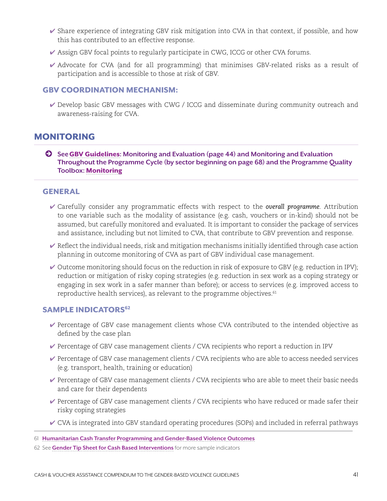- <span id="page-40-0"></span> $\checkmark$  Share experience of integrating GBV risk mitigation into CVA in that context, if possible, and how this has contributed to an effective response.
- ✔ Assign GBV focal points to regularly participate in CWG, ICCG or other CVA forums.
- $\blacktriangleright$  Advocate for CVA (and for all programming) that minimises GBV-related risks as a result of participation and is accessible to those at risk of GBV.

#### GBV COORDINATION MECHANISM:

✔ Develop basic GBV messages with CWG / ICCG and disseminate during community outreach and awareness-raising for CVA.

### MONITORING

© **See**[GBV Guidelines](https://gbvguidelines.org/)**: Monitoring and Evaluation (page 44) and Monitoring and Evaluation Throughout the Programme Cycle (by sector beginning on page 68) and the Programme Quality Toolbox:** [Monitoring](http://pqtoolbox.cashlearning.org/Process-and-output-monitoring)

#### GENERAL

- ✔ Carefully consider any programmatic effects with respect to the *overall programme*. Attribution to one variable such as the modality of assistance (e.g. cash, vouchers or in-kind) should not be assumed, but carefully monitored and evaluated. It is important to consider the package of services and assistance, including but not limited to CVA, that contribute to GBV prevention and response.
- $\blacktriangleright$  Reflect the individual needs, risk and mitigation mechanisms initially identified through case action planning in outcome monitoring of CVA as part of GBV individual case management.
- $\checkmark$  Outcome monitoring should focus on the reduction in risk of exposure to GBV (e.g. reduction in IPV); reduction or mitigation of risky coping strategies (e.g. reduction in sex work as a coping strategy or engaging in sex work in a safer manner than before); or access to services (e.g. improved access to reproductive health services), as relevant to the programme objectives.<sup>61</sup>

#### **SAMPLE INDICATORS<sup>62</sup>**

- ✔ Percentage of GBV case management clients whose CVA contributed to the intended objective as defined by the case plan
- $\blacktriangleright$  Percentage of GBV case management clients / CVA recipients who report a reduction in IPV
- $\blacktriangleright$  Percentage of GBV case management clients / CVA recipients who are able to access needed services (e.g. transport, health, training or education)
- $\blacktriangleright$  Percentage of GBV case management clients / CVA recipients who are able to meet their basic needs and care for their dependents
- ✔ Percentage of GBV case management clients / CVA recipients who have reduced or made safer their risky coping strategies
- $\vee$  CVA is integrated into GBV standard operating procedures (SOPs) and included in referral pathways

<sup>61</sup> **[Humanitarian Cash Transfer Programming and Gender-Based Violence Outcomes](http://www.cashlearning.org/resources/library/1271-humanitarian-cash-transfer-programming-and-gender-based-violence-outcomes-evidence-and-future-research-priorities)**

<sup>62</sup> See **[Gender Tip Sheet for Cash Based Interventions](https://bit.ly/2Nz5te2)** for more sample indicators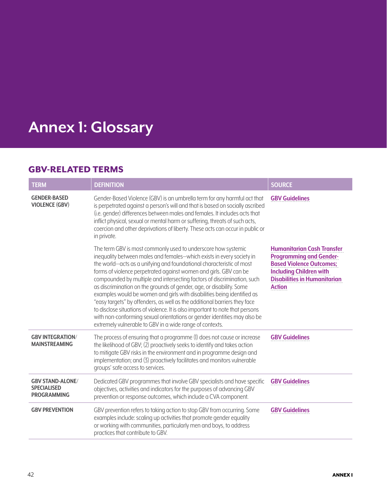# <span id="page-41-0"></span>**Annex 1: Glossary**

## GBV-RELATED TERMS

| <b>TERM</b>                                                         | <b>DEFINITION</b>                                                                                                                                                                                                                                                                                                                                                                                                                                                                                                                                                                                                                                                                                                                                                                                                       | <b>SOURCE</b>                                                                                                                                                                                    |
|---------------------------------------------------------------------|-------------------------------------------------------------------------------------------------------------------------------------------------------------------------------------------------------------------------------------------------------------------------------------------------------------------------------------------------------------------------------------------------------------------------------------------------------------------------------------------------------------------------------------------------------------------------------------------------------------------------------------------------------------------------------------------------------------------------------------------------------------------------------------------------------------------------|--------------------------------------------------------------------------------------------------------------------------------------------------------------------------------------------------|
| <b>GENDER-BASED</b><br><b>VIOLENCE (GBV)</b>                        | Gender-Based Violence (GBV) is an umbrella term for any harmful act that<br>is perpetrated against a person's will and that is based on socially ascribed<br>(i.e. gender) differences between males and females. It includes acts that<br>inflict physical, sexual or mental harm or suffering, threats of such acts,<br>coercion and other deprivations of liberty. These acts can occur in public or<br>in private.                                                                                                                                                                                                                                                                                                                                                                                                  | <b>GBV Guidelines</b>                                                                                                                                                                            |
|                                                                     | The term GBV is most commonly used to underscore how systemic<br>inequality between males and females-which exists in every society in<br>the world-acts as a unifying and foundational characteristic of most<br>forms of violence perpetrated against women and girls. GBV can be<br>compounded by multiple and intersecting factors of discrimination, such<br>as discrimination on the grounds of gender, age, or disability. Some<br>examples would be women and girls with disabilities being identified as<br>"easy targets" by offenders, as well as the additional barriers they face<br>to disclose situations of violence. It is also important to note that persons<br>with non-conforming sexual orientations or gender identities may also be<br>extremely vulnerable to GBV in a wide range of contexts. | <b>Humanitarian Cash Transfer</b><br><b>Programming and Gender-</b><br><b>Based Violence Outcomes;</b><br><b>Including Children with</b><br><b>Disabilities in Humanitarian</b><br><b>Action</b> |
| <b>GBV INTEGRATION/</b><br><b>MAINSTREAMING</b>                     | The process of ensuring that a programme (I) does not cause or increase<br>the likelihood of GBV; (2) proactively seeks to identify and takes action<br>to mitigate GBV risks in the environment and in programme design and<br>implementation; and (3) proactively facilitates and monitors vulnerable<br>groups' safe access to services.                                                                                                                                                                                                                                                                                                                                                                                                                                                                             | <b>GBV Guidelines</b>                                                                                                                                                                            |
| <b>GBV STAND-ALONE/</b><br><b>SPECIALISED</b><br><b>PROGRAMMING</b> | Dedicated GBV programmes that involve GBV specialists and have specific<br>objectives, activities and indicators for the purposes of advancing GBV<br>prevention or response outcomes, which include a CVA component.                                                                                                                                                                                                                                                                                                                                                                                                                                                                                                                                                                                                   | <b>GBV Guidelines</b>                                                                                                                                                                            |
| <b>GBV PREVENTION</b>                                               | GBV prevention refers to taking action to stop GBV from occurring. Some<br>examples include: scaling up activities that promote gender equality<br>or working with communities, particularly men and boys, to address<br>practices that contribute to GBV.                                                                                                                                                                                                                                                                                                                                                                                                                                                                                                                                                              | <b>GBV Guidelines</b>                                                                                                                                                                            |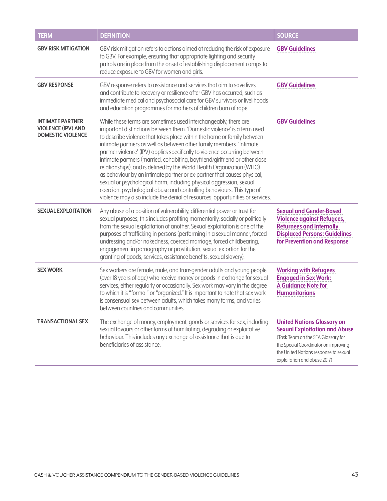| <b>TERM</b>                                                                      | <b>DEFINITION</b>                                                                                                                                                                                                                                                                                                                                                                                                                                                                                                                                                                                                                                                                                                                                                                                                                                | <b>SOURCE</b>                                                                                                                                                                                                                    |  |
|----------------------------------------------------------------------------------|--------------------------------------------------------------------------------------------------------------------------------------------------------------------------------------------------------------------------------------------------------------------------------------------------------------------------------------------------------------------------------------------------------------------------------------------------------------------------------------------------------------------------------------------------------------------------------------------------------------------------------------------------------------------------------------------------------------------------------------------------------------------------------------------------------------------------------------------------|----------------------------------------------------------------------------------------------------------------------------------------------------------------------------------------------------------------------------------|--|
| <b>GBV RISK MITIGATION</b>                                                       | GBV risk mitigation refers to actions aimed at reducing the risk of exposure<br>to GBV. For example, ensuring that appropriate lighting and security<br>patrols are in place from the onset of establishing displacement camps to<br>reduce exposure to GBV for women and girls.                                                                                                                                                                                                                                                                                                                                                                                                                                                                                                                                                                 | <b>GBV Guidelines</b>                                                                                                                                                                                                            |  |
| <b>GBV RESPONSE</b>                                                              | GBV response refers to assistance and services that aim to save lives<br>and contribute to recovery or resilience after GBV has occurred, such as<br>immediate medical and psychosocial care for GBV survivors or livelihoods<br>and education programmes for mothers of children born of rape.                                                                                                                                                                                                                                                                                                                                                                                                                                                                                                                                                  | <b>GBV Guidelines</b>                                                                                                                                                                                                            |  |
| <b>INTIMATE PARTNER</b><br><b>VIOLENCE (IPV) AND</b><br><b>DOMESTIC VIOLENCE</b> | While these terms are sometimes used interchangeably, there are<br>important distinctions between them. 'Domestic violence' is a term used<br>to describe violence that takes place within the home or family between<br>intimate partners as well as between other family members. 'Intimate<br>partner violence' (IPV) applies specifically to violence occurring between<br>intimate partners (married, cohabiting, boyfriend/girlfriend or other close<br>relationships), and is defined by the World Health Organization (WHO)<br>as behaviour by an intimate partner or ex-partner that causes physical,<br>sexual or psychological harm, including physical aggression, sexual<br>coercion, psychological abuse and controlling behaviours. This type of<br>violence may also include the denial of resources, opportunities or services. | <b>GBV Guidelines</b>                                                                                                                                                                                                            |  |
| <b>SEXUAL EXPLOITATION</b>                                                       | Any abuse of a position of vulnerability, differential power or trust for<br>sexual purposes; this includes profiting momentarily, socially or politically<br>from the sexual exploitation of another. Sexual exploitation is one of the<br>purposes of trafficking in persons (performing in a sexual manner, forced<br>undressing and/or nakedness, coerced marriage, forced childbearing,<br>engagement in pornography or prostitution, sexual extortion for the<br>granting of goods, services, assistance benefits, sexual slavery).                                                                                                                                                                                                                                                                                                        | <b>Sexual and Gender-Based</b><br><b>Violence against Refugees,</b><br><b>Returnees and Internally</b><br><b>Displaced Persons: Guidelines</b><br>for Prevention and Response                                                    |  |
| <b>SEX WORK</b>                                                                  | Sex workers are female, male, and transgender adults and young people<br>(over 18 years of age) who receive money or goods in exchange for sexual<br>services, either regularly or occasionally. Sex work may vary in the degree<br>to which it is "formal" or "organized." It is important to note that sex work<br>is consensual sex between adults, which takes many forms, and varies<br>between countries and communities.                                                                                                                                                                                                                                                                                                                                                                                                                  | <b>Working with Refugees</b><br><b>Engaged in Sex Work:</b><br><b>A Guidance Note for</b><br><b>Humanitarians</b>                                                                                                                |  |
| <b>TRANSACTIONAL SEX</b>                                                         | The exchange of money, employment, goods or services for sex, including<br>sexual favours or other forms of humiliating, degrading or exploitative<br>behaviour. This includes any exchange of assistance that is due to<br>beneficiaries of assistance.                                                                                                                                                                                                                                                                                                                                                                                                                                                                                                                                                                                         | <b>United Nations Glossary on</b><br><b>Sexual Exploitation and Abuse</b><br>(Task Team on the SEA Glossary for<br>the Special Coordinator on improving<br>the United Nations response to sexual<br>exploitation and abuse 2017) |  |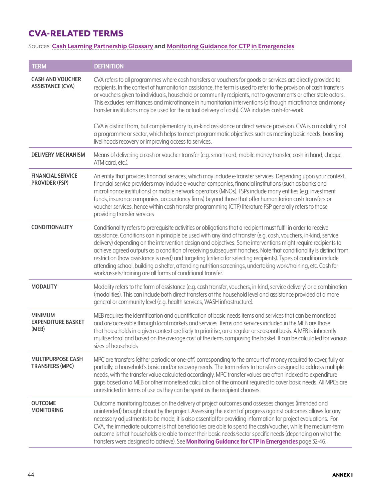## <span id="page-43-0"></span>CVA-RELATED TERMS

#### Sources: **[Cash Learning Partnership Glossary](http://www.cashlearning.org/resources/glossary) and [Monitoring Guidance for CTP in Emergencies](http://www.cashlearning.org/resources/library/1046-monitoring4ctp-monitoring-guidance-for-ctp-in-emergencies)**

| <b>TERM</b>                                          | <b>DEFINITION</b>                                                                                                                                                                                                                                                                                                                                                                                                                                                                                                                                                                                                                                                                                                                                                                                       |
|------------------------------------------------------|---------------------------------------------------------------------------------------------------------------------------------------------------------------------------------------------------------------------------------------------------------------------------------------------------------------------------------------------------------------------------------------------------------------------------------------------------------------------------------------------------------------------------------------------------------------------------------------------------------------------------------------------------------------------------------------------------------------------------------------------------------------------------------------------------------|
| <b>CASH AND VOUCHER</b><br><b>ASSISTANCE (CVA)</b>   | CVA refers to all programmes where cash transfers or vouchers for goods or services are directly provided to<br>recipients. In the context of humanitarian assistance, the term is used to refer to the provision of cash transfers<br>or vouchers given to individuals, household or community recipients, not to governments or other state actors.<br>This excludes remittances and microfinance in humanitarian interventions (although microfinance and money<br>transfer institutions may be used for the actual delivery of cash). CVA includes cash-for-work.<br>CVA is distinct from, but complementary to, in-kind assistance or direct service provision. CVA is a modality, not<br>a programme or sector, which helps to meet programmatic objectives such as meeting basic needs, boosting |
| <b>DELIVERY MECHANISM</b>                            | livelihoods recovery or improving access to services.<br>Means of delivering a cash or voucher transfer (e.g. smart card, mobile money transfer, cash in hand, cheque,<br>ATM card, etc.).                                                                                                                                                                                                                                                                                                                                                                                                                                                                                                                                                                                                              |
| <b>FINANCIAL SERVICE</b><br><b>PROVIDER (FSP)</b>    | An entity that provides financial services, which may include e-transfer services. Depending upon your context,<br>financial service providers may include e-voucher companies, financial institutions (such as banks and<br>microfinance institutions) or mobile network operators (MNOs). FSPs include many entities (e.g. investment<br>funds, insurance companies, accountancy firms) beyond those that offer humanitarian cash transfers or<br>voucher services, hence within cash transfer programming (CTP) literature FSP generally refers to those<br>providing transfer services                                                                                                                                                                                                              |
| <b>CONDITIONALITY</b>                                | Conditionality refers to prerequisite activities or obligations that a recipient must fulfil in order to receive<br>assistance. Conditions can in principle be used with any kind of transfer (e.g. cash, vouchers, in-kind, service<br>delivery) depending on the intervention design and objectives. Some interventions might require recipients to<br>achieve agreed outputs as a condition of receiving subsequent tranches. Note that conditionality is distinct from<br>restriction (how assistance is used) and targeting (criteria for selecting recipients). Types of condition include<br>attending school, building a shelter, attending nutrition screenings, undertaking work/training, etc. Cash for<br>work/assets/training are all forms of conditional transfer.                       |
| <b>MODALITY</b>                                      | Modality refers to the form of assistance (e.g. cash transfer, vouchers, in-kind, service delivery) or a combination<br>(modalities). This can include both direct transfers at the household level and assistance provided at a more<br>general or community level (e.g. health services, WASH infrastructure).                                                                                                                                                                                                                                                                                                                                                                                                                                                                                        |
| <b>MINIMUM</b><br><b>EXPENDITURE BASKET</b><br>(MEB) | MEB requires the identification and quantification of basic needs items and services that can be monetised<br>and are accessible through local markets and services. Items and services included in the MEB are those<br>that households in a given context are likely to prioritise, on a regular or seasonal basis. A MEB is inherently<br>multisectoral and based on the average cost of the items composing the basket. It can be calculated for various<br>sizes of households                                                                                                                                                                                                                                                                                                                     |
| <b>MULTIPURPOSE CASH</b><br><b>TRANSFERS (MPC)</b>   | MPC are transfers (either periodic or one-off) corresponding to the amount of money required to cover, fully or<br>partially, a household's basic and/or recovery needs. The term refers to transfers designed to address multiple<br>needs, with the transfer value calculated accordingly. MPC transfer values are often indexed to expenditure<br>gaps based on a MEB or other monetised calculation of the amount required to cover basic needs. All MPCs are<br>unrestricted in terms of use as they can be spent as the recipient chooses.                                                                                                                                                                                                                                                        |
| <b>OUTCOME</b><br><b>MONITORING</b>                  | Outcome monitoring focuses on the delivery of project outcomes and assesses changes (intended and<br>unintended) brought about by the project. Assessing the extent of progress against outcomes allows for any<br>necessary adjustments to be made; it is also essential for providing information for project evaluations. For<br>CVA, the immediate outcome is that beneficiaries are able to spend the cash/voucher, while the medium-term<br>outcome is that households are able to meet their basic needs/sector specific needs (depending on what the<br>transfers were designed to achieve). See Monitoring Guidance for CTP in Emergencies page 32-46.                                                                                                                                         |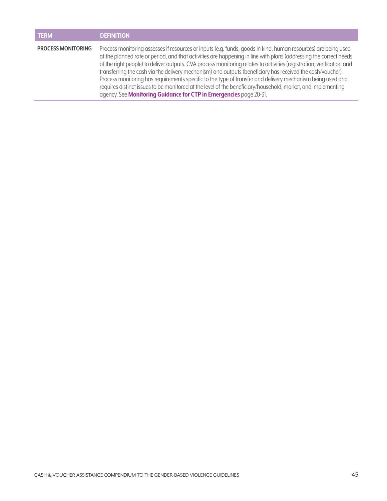| <b>TERM</b>               | <b>DEFINITION</b>                                                                                                                                                                                                                                                                                                                                                                                                                                                                                                                                                                                                                                                                                                                                                              |
|---------------------------|--------------------------------------------------------------------------------------------------------------------------------------------------------------------------------------------------------------------------------------------------------------------------------------------------------------------------------------------------------------------------------------------------------------------------------------------------------------------------------------------------------------------------------------------------------------------------------------------------------------------------------------------------------------------------------------------------------------------------------------------------------------------------------|
| <b>PROCESS MONITORING</b> | Process monitoring assesses if resources or inputs (e.g. funds, goods in kind, human resources) are being used<br>at the planned rate or period, and that activities are happening in line with plans (addressing the correct needs<br>of the right people) to deliver outputs. CVA process monitoring relates to activities (registration, verification and<br>transferring the cash via the delivery mechanism) and outputs (beneficiary has received the cash/voucher).<br>Process monitoring has requirements specific to the type of transfer and delivery mechanism being used and<br>requires distinct issues to be monitored at the level of the beneficiary/household, market, and implementing<br>agency. See Monitoring Guidance for CTP in Emergencies page 20-31. |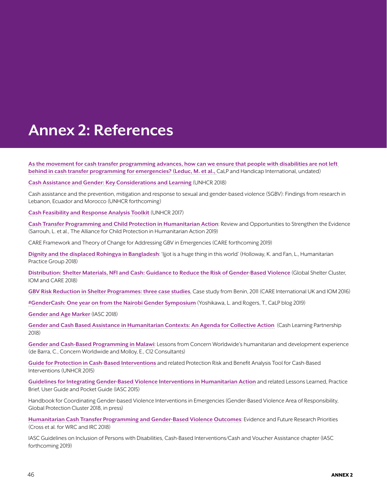## <span id="page-45-0"></span>**Annex 2: References**

**[As the movement for cash transfer programming advances, how can we ensure that people with disabilities are not left](http://www.cashlearning.org/downloads/cash-disability-calp-hi.pdf)  [behind in cash transfer programming for emergencies?](http://www.cashlearning.org/downloads/cash-disability-calp-hi.pdf) (Leduc, M. et al.,** CaLP and Handicap International, undated)

**[Cash Assistance and Gender: Key Considerations and Learning](https://www.unhcr.org/protection/operations/5bbf501b4/cash-assistance-gender-key-considerations-learning.html)** (UNHCR 2018)

Cash assistance and the prevention, mitigation and response to sexual and gender-based violence (SGBV): Findings from research in Lebanon, Ecuador and Morocco (UNHCR forthcoming)

**[Cash Feasibility and Response Analysis Toolkit](https://www.unhcr.org/5a8429317.pdf)** (UNHCR 2017)

**[Cash Transfer Programming and Child Protection in Humanitarian Action](https://www.alliancecpha.org/en/child-protection-online-library/cash-transfer-programming-and-child-protection-humanitarian-action)**: Review and Opportunities to Strengthen the Evidence (Sarrouh, L. et al., The Alliance for Child Protection in Humanitarian Action 2019)

CARE Framework and Theory of Change for Addressing GBV in Emergencies (CARE forthcoming 2019)

**[Dignity and the displaced Rohingya in Bangladesh](https://www.odi.org/sites/odi.org.uk/files/resource-documents/12362.pdf)**: 'Ijjot is a huge thing in this world' (Holloway, K. and Fan, L., Humanitarian Practice Group 2018)

**[Distribution: Shelter Materials, NFI and Cash: Guidance to Reduce the Risk of Gender-Based Violence](https://www.sheltercluster.org/gbv-shelter-programming-working-group/documents/distribution-shelter-materials-nfi-cash-first)** (Global Shelter Cluster, IOM and CARE 2018)

**[GBV Risk Reduction in Shelter Programmes: three case studies](https://gbvguidelines.org/wp/wp-content/uploads/2018/05/GBV-Risk-Reduction-in-Shelter-Programmes-Case-Studies.pdf)**, Case study from Benin, 2011 (CARE International UK and IOM 2016)

**[#GenderCash: One year on from the Nairobi Gender Symposium](http://www.cashlearning.org/news-and-events/news-and-events/post/525-gendercash-one-year-on-from-the-nairobi-gender-symposium-)** (Yoshikawa, L. and Rogers, T., CaLP blog 2019)

**[Gender and Age Marker](https://iascgenderwithagemarker.com/en/home/)** (IASC 2018)

**[Gender and Cash Based Assistance in Humanitarian Contexts: An Agenda for Collective Action](http://www.cashlearning.org/downloads/agenda-for-collective-action---gender---cba---final.pdf)** (Cash Learning Partnership 2018)

**[Gender and Cash-Based Programming in Malawi](http://www.cashlearning.org/resources/library/1244-gender-and-cash-based-programming-in-malawi-lessons-from-concern-worldwides-humanitarian-and-development-experience?keywords=®ion=all&country=all&year=all&organisation=all§or=all&modality=all&language=all&payment_method=all&document_type=all&searched=1)**: Lessons from Concern Worldwide's humanitarian and development experience (de Barra, C., Concern Worldwide and Molloy, E., C12 Consultants)

**[Guide for Protection in Cash-Based Interventions](http://www.cashlearning.org/resources/library/800-guide-for-protection-in-cash-based-interventions)** and related Protection Risk and Benefit Analysis Tool for Cash-Based Interventions (UNHCR 2015)

**[Guidelines for Integrating Gender-Based Violence Interventions in Humanitarian Action](https://gbvguidelines.org/en/)** and related Lessons Learned, Practice Brief, User Guide and Pocket Guide (IASC 2015)

Handbook for Coordinating Gender-based Violence Interventions in Emergencies (Gender-Based Violence Area of Responsibility, Global Protection Cluster 2018, in press)

**[Humanitarian Cash Transfer Programming and Gender-Based Violence Outcomes](http://www.cashlearning.org/resources/library/1271-humanitarian-cash-transfer-programming-and-gender-based-violence-outcomes-evidence-and-future-research-priorities)**: Evidence and Future Research Priorities (Cross et al. for WRC and IRC 2018)

IASC Guidelines on Inclusion of Persons with Disabilities, Cash-Based Interventions/Cash and Voucher Assistance chapter (IASC forthcoming 2019)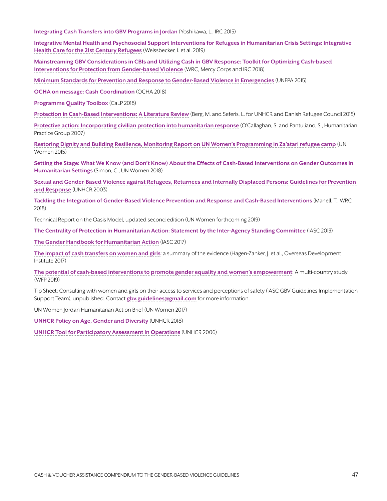**[Integrating Cash Transfers into GBV Programs in Jordan](https://www.rescue.org/report/integrating-cash-transfers-gender-based-violence-programs-jordan-benefits-risks-and)** (Yoshikawa, L., IRC 2015)

**[Integrative Mental Health and Psychosocial Support Interventions for Refugees in Humanitarian Crisis Settings: Integrative](https://www.researchgate.net/publication/326525465_Integrative_Mental_Health_and_Psychosocial_Support_Interventions_for_Refugees_in_Humanitarian_Crisis_Settings_Integrative_Health_Care_for_the_21st_Century_Refugees)  [Health Care for the 21st Century Refugees](https://www.researchgate.net/publication/326525465_Integrative_Mental_Health_and_Psychosocial_Support_Interventions_for_Refugees_in_Humanitarian_Crisis_Settings_Integrative_Health_Care_for_the_21st_Century_Refugees)** (Weissbecker, I. et al. 2019)

**[Mainstreaming GBV Considerations in CBIs and Utilizing Cash in GBV Response: Toolkit for Optimizing Cash-based](https://www.womensrefugeecommission.org/issues/livelihoods/research-and-resources/1549-mainstreaming-gbv-considerations-in-cbis-and-utilizing-cash-in-gbv-response)  [Interventions for Protection from Gender-based Violence](https://www.womensrefugeecommission.org/issues/livelihoods/research-and-resources/1549-mainstreaming-gbv-considerations-in-cbis-and-utilizing-cash-in-gbv-response)** (WRC, Mercy Corps and IRC 2018)

**[Minimum Standards for Prevention and Response to Gender-Based Violence in Emergencies](http://unfpa.org/GBViEStandards)** (UNFPA 2015)

**[OCHA on message: Cash Coordination](https://www.unocha.org/publication/ocha-message-cash-coordination)** (OCHA 2018)

**[Programme Quality Toolbox](http://pqtoolbox.cashlearning.org/)** (CaLP 2018)

**[Protection in Cash-Based Interventions: A Literature Review](http://www.cashlearning.org/resources/library/590-protection-outcomes-in-cash-based-interventions-a-literature-review)** (Berg, M. and Seferis, L. for UNHCR and Danish Refugee Council 2015)

**[Protective action: Incorporating civilian protection into humanitarian response](https://www.odi.org/publications/1084-protective-action-incorporating-civilian-protection-humanitarian-response)** (O'Callaghan, S. and Pantuliano, S., Humanitarian Practice Group 2007)

**[Restoring Dignity and Building Resilience, Monitoring Report on UN Women's Programming in Za'atari refugee camp](http://www.unwomen.org/en/digital-library/publications/2016/3/restoring-dignity-and-building-resilience-in-jordan)** (UN Women 2015)

**[Setting the Stage: What We Know \(and Don't Know\) About the Effects of Cash-Based Interventions on Gender Outcomes in](http://www.cashlearning.org/resources/library/1243-setting-the-stage-what-we-know-and-dont-know-about-the-effects-of-cash-based-interventions-on-gender-outcomes-in-humanitarian-settings?keywords=®ion=all&country=all&year=all&organisation=all§or=all&modality=all&language=all&payment_method=all&document_type=all&searched=1)  [Humanitarian Settings](http://www.cashlearning.org/resources/library/1243-setting-the-stage-what-we-know-and-dont-know-about-the-effects-of-cash-based-interventions-on-gender-outcomes-in-humanitarian-settings?keywords=®ion=all&country=all&year=all&organisation=all§or=all&modality=all&language=all&payment_method=all&document_type=all&searched=1)** (Simon, C., UN Women 2018)

**[Sexual and Gender-Based Violence against Refugees, Returnees and Internally Displaced Persons: Guidelines for Prevention](https://www.unhcr.org/3f696bcc4.pdf)  [and Response](https://www.unhcr.org/3f696bcc4.pdf)** (UNHCR 2003)

**[Tackling the Integration of Gender-Based Violence Prevention and Response and Cash-Based Interventions](http://www.cashlearning.org/resources/library/1270-tackling-the-integration-of-gender-based-violence-prevention-and-response-and-cash-based-interventions?keywords=®ion=all&country=all&year=all&organisation=all§or=all&modality=all&language=all&payment_method=all&document_type=all&searched=1)** (Manell, T., WRC 2018)

Technical Report on the Oasis Model, updated second edition (UN Women forthcoming 2019)

**[The Centrality of Protection in Humanitarian Action: Statement by the Inter-Agency Standing Committee](https://interagencystandingcommittee.org/principals/content/iasc-principals-statement-centrality-protection-humanitarian-action-2013)** (IASC 2013)

**[The Gender Handbook for Humanitarian Action](https://interagencystandingcommittee.org/gender-and-humanitarian-action/content/iasc-gender-handbook-humanitarian-action-2017)** (IASC 2017)

**[The impact of cash transfers on women and girls](https://www.odi.org/sites/odi.org.uk/files/resource-documents/11374.pdf)**: a summary of the evidence (Hagen-Zanker, J. et al., Overseas Development Institute 2017)

**[The potential of cash-based interventions to promote gender equality and women's empowerment](https://www1.wfp.org/publications/gender-and-cash-wfp-study)**: A multi-country study (WFP 2019)

Tip Sheet: Consulting with women and girls on their access to services and perceptions of safety (IASC GBV Guidelines Implementation Support Team), unpublished. Contact **[gbv.guidelines@gmail.com](mailto:gbv.guidelines%40gmail.com?subject=)** for more information.

UN Women Jordan Humanitarian Action Brief (UN Women 2017)

**[UNHCR Policy on Age, Gender and Diversity](https://www.unhcr.org/protection/women/5aa13c0c7/policy-age-gender-diversity-accountability-2018.html)** (UNHCR 2018)

**[UNHCR Tool for Participatory Assessment in Operations](http://www.refworld.org/docid/462df4232.html)** (UNHCR 2006)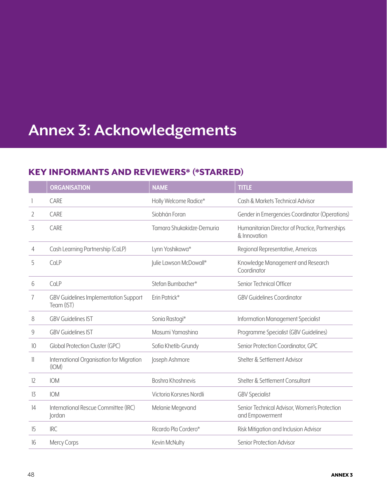## <span id="page-47-0"></span>**Annex 3: Acknowledgements**

## KEY INFORMANTS AND REVIEWERS\* (\*STARRED)

|    | <b>ORGANISATION</b>                                        | <b>NAME</b>               | <b>TITLE</b>                                                    |
|----|------------------------------------------------------------|---------------------------|-----------------------------------------------------------------|
|    | CARE                                                       | Holly Welcome Radice*     | Cash & Markets Technical Advisor                                |
| 2  | CARE                                                       | Siobhán Foran             | Gender in Emergencies Coordinator (Operations)                  |
| 3  | CARE                                                       | Tamara Shukakidze-Demuria | Humanitarian Director of Practice, Partnerships<br>& Innovation |
| 4  | Cash Learning Partnership (CaLP)                           | Lynn Yoshikawa*           | Regional Representative, Americas                               |
| 5  | CaLP                                                       | Julie Lawson McDowall*    | Knowledge Management and Research<br>Coordinator                |
| 6  | CaLP                                                       | Stefan Bumbacher*         | Senior Technical Officer                                        |
| 7  | <b>GBV Guidelines Implementation Support</b><br>Team (IST) | Erin Patrick*             | <b>GBV Guidelines Coordinator</b>                               |
| 8  | <b>GBV Guidelines IST</b>                                  | Sonia Rastogi*            | Information Management Specialist                               |
| 9  | <b>GBV Guidelines IST</b>                                  | Masumi Yamashina          | Programme Specialist (GBV Guidelines)                           |
| 10 | <b>Global Protection Cluster (GPC)</b>                     | Sofia Khetib-Grundy       | Senior Protection Coordinator, GPC                              |
| 11 | International Organisation for Migration<br>(IOM)          | Joseph Ashmore            | Shelter & Settlement Advisor                                    |
| 12 | <b>IOM</b>                                                 | Boshra Khoshnevis         | Shelter & Settlement Consultant                                 |
| 13 | <b>IOM</b>                                                 | Victoria Korsnes Nordli   | <b>GBV Specialist</b>                                           |
| 14 | International Rescue Committee (IRC)<br><i>cordan</i>      | Melanie Megevand          | Senior Technical Advisor, Women's Protection<br>and Empowerment |
| 15 | <b>IRC</b>                                                 | Ricardo Pla Cordero*      | Risk Mitigation and Inclusion Advisor                           |
| 16 | Mercy Corps                                                | Kevin McNulty             | Senior Protection Advisor                                       |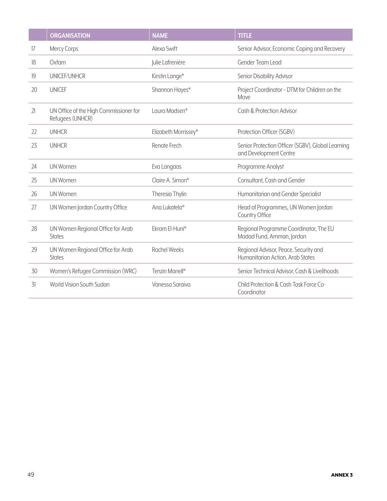|    | <b>ORGANISATION</b>                                        | <b>NAME</b>          | <b>TITLE</b>                                                                |
|----|------------------------------------------------------------|----------------------|-----------------------------------------------------------------------------|
| 17 | Mercy Corps                                                | Alexa Swift          | Senior Advisor, Economic Coping and Recovery                                |
| 18 | Oxfam                                                      | Julie Lafrenière     | Gender Team Lead                                                            |
| 19 | UNICEF/UNHCR                                               | Kirstin Lange*       | Senior Disability Advisor                                                   |
| 20 | <b>UNICEF</b>                                              | Shannon Hayes*       | Project Coordinator - DTM for Children on the<br>Move                       |
| 21 | UN Office of the High Commissioner for<br>Refugees (UNHCR) | Laura Madsen*        | Cash & Protection Advisor                                                   |
| 22 | <b>UNHCR</b>                                               | Elizabeth Morrissey* | Protection Officer (SGBV)                                                   |
| 23 | <b>UNHCR</b>                                               | Renate Frech         | Senior Protection Officer (SGBV), Global Learning<br>and Development Centre |
| 24 | <b>UN Women</b>                                            | Eva Langaas          | Programme Analyst                                                           |
| 25 | <b>UN Women</b>                                            | Claire A. Simon*     | Consultant, Cash and Gender                                                 |
| 26 | UN Women                                                   | Theresia Thylin      | Humanitarian and Gender Specialist                                          |
| 27 | UN Women Jordan Country Office                             | Ana Lukatela*        | Head of Programmes, UN Women Jordan<br>Country Office                       |
| 28 | UN Women Regional Office for Arab<br><b>States</b>         | Ekram El-Huni*       | Regional Programme Coordinator, The EU<br>Madad Fund, Amman, Jordan         |
| 29 | UN Women Regional Office for Arab<br><b>States</b>         | <b>Rachel Weeks</b>  | Regional Advisor, Peace, Security and<br>Humanitarian Action, Arab States   |
| 30 | Women's Refugee Commission (WRC)                           | Tenzin Manell*       | Senior Technical Advisor, Cash & Livelihoods                                |
| 31 | World Vision South Sudan                                   | Vanessa Saraiva      | Child Protection & Cash Task Force Co-<br>Coordinator                       |